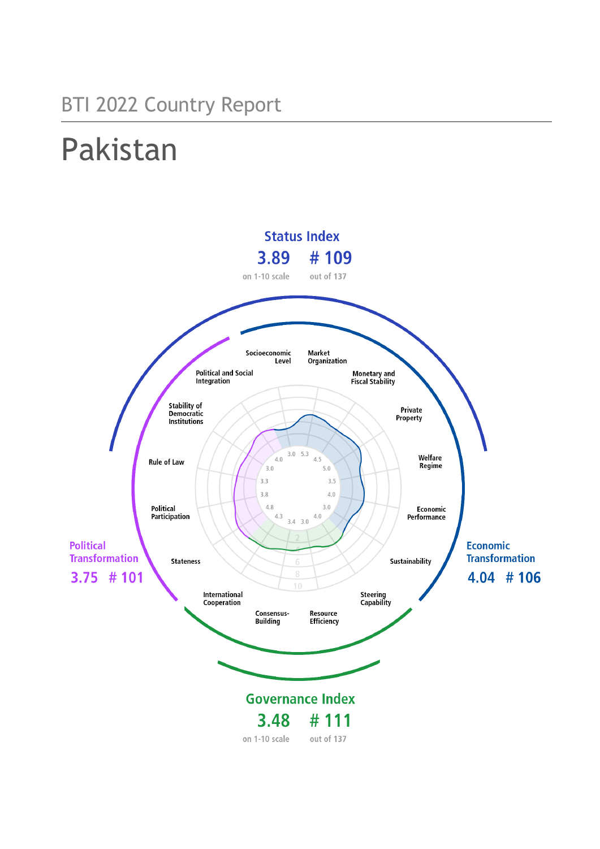## BTI 2022 Country Report

# Pakistan

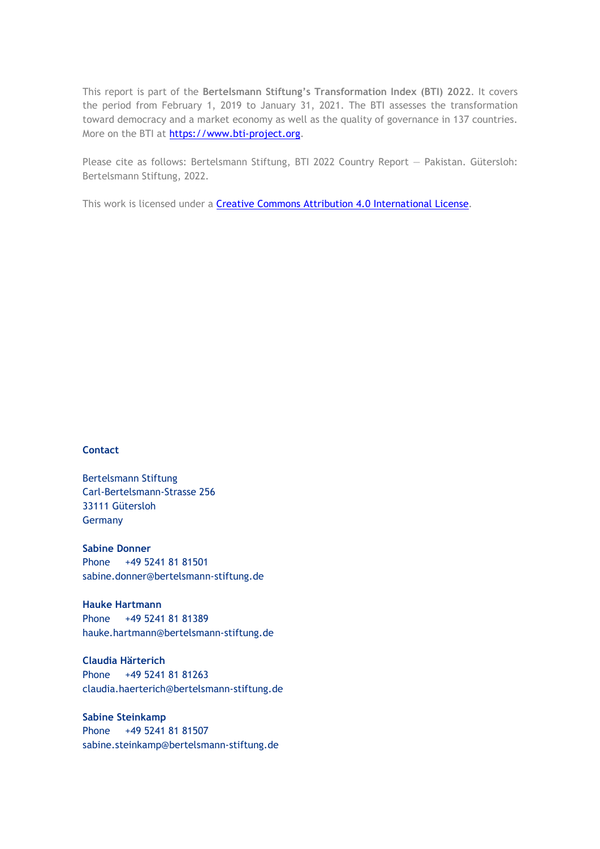This report is part of the **Bertelsmann Stiftung's Transformation Index (BTI) 2022**. It covers the period from February 1, 2019 to January 31, 2021. The BTI assesses the transformation toward democracy and a market economy as well as the quality of governance in 137 countries. More on the BTI at [https://www.bti-project.org.](https://www.bti-project.org/)

Please cite as follows: Bertelsmann Stiftung, BTI 2022 Country Report — Pakistan. Gütersloh: Bertelsmann Stiftung, 2022.

This work is licensed under a **Creative Commons Attribution 4.0 International License**.

### **Contact**

Bertelsmann Stiftung Carl-Bertelsmann-Strasse 256 33111 Gütersloh Germany

**Sabine Donner** Phone +49 5241 81 81501 sabine.donner@bertelsmann-stiftung.de

**Hauke Hartmann** Phone +49 5241 81 81389 hauke.hartmann@bertelsmann-stiftung.de

**Claudia Härterich** Phone +49 5241 81 81263 claudia.haerterich@bertelsmann-stiftung.de

### **Sabine Steinkamp** Phone +49 5241 81 81507 sabine.steinkamp@bertelsmann-stiftung.de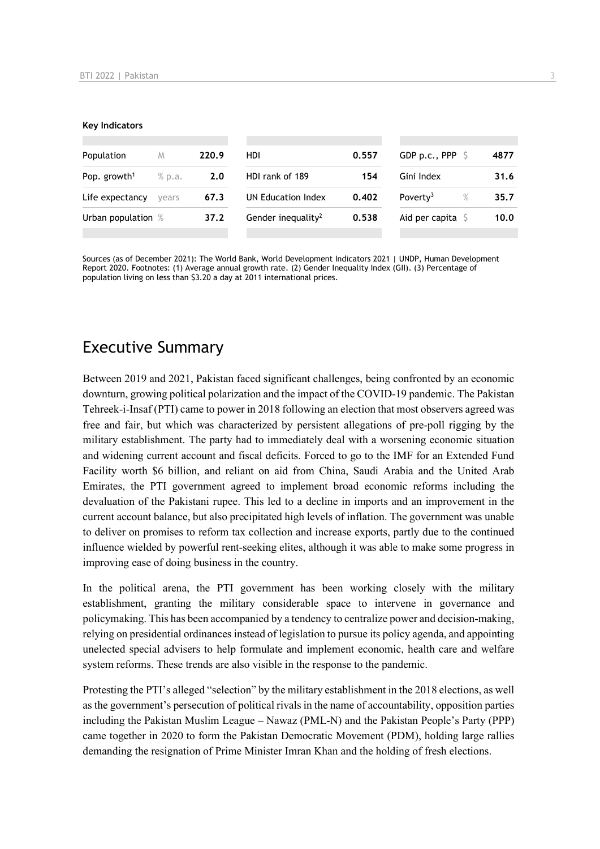#### **Key Indicators**

| Population               | M      | 220.9 | <b>HDI</b>                     | 0.557 | GDP p.c., PPP $\ S$          | 4877 |
|--------------------------|--------|-------|--------------------------------|-------|------------------------------|------|
| Pop. growth <sup>1</sup> | % p.a. | 2.0   | HDI rank of 189                | 154   | Gini Index                   | 31.6 |
| Life expectancy          | vears  | 67.3  | UN Education Index             | 0.402 | Poverty <sup>3</sup><br>$\%$ | 35.7 |
| Urban population %       |        | 37.2  | Gender inequality <sup>2</sup> | 0.538 | Aid per capita $\mathsf S$   | 10.0 |
|                          |        |       |                                |       |                              |      |

Sources (as of December 2021): The World Bank, World Development Indicators 2021 | UNDP, Human Development Report 2020. Footnotes: (1) Average annual growth rate. (2) Gender Inequality Index (GII). (3) Percentage of population living on less than \$3.20 a day at 2011 international prices.

## Executive Summary

Between 2019 and 2021, Pakistan faced significant challenges, being confronted by an economic downturn, growing political polarization and the impact of the COVID-19 pandemic. The Pakistan Tehreek-i-Insaf (PTI) came to power in 2018 following an election that most observers agreed was free and fair, but which was characterized by persistent allegations of pre-poll rigging by the military establishment. The party had to immediately deal with a worsening economic situation and widening current account and fiscal deficits. Forced to go to the IMF for an Extended Fund Facility worth \$6 billion, and reliant on aid from China, Saudi Arabia and the United Arab Emirates, the PTI government agreed to implement broad economic reforms including the devaluation of the Pakistani rupee. This led to a decline in imports and an improvement in the current account balance, but also precipitated high levels of inflation. The government was unable to deliver on promises to reform tax collection and increase exports, partly due to the continued influence wielded by powerful rent-seeking elites, although it was able to make some progress in improving ease of doing business in the country.

In the political arena, the PTI government has been working closely with the military establishment, granting the military considerable space to intervene in governance and policymaking. This has been accompanied by a tendency to centralize power and decision-making, relying on presidential ordinances instead of legislation to pursue its policy agenda, and appointing unelected special advisers to help formulate and implement economic, health care and welfare system reforms. These trends are also visible in the response to the pandemic.

Protesting the PTI's alleged "selection" by the military establishment in the 2018 elections, as well as the government's persecution of political rivals in the name of accountability, opposition parties including the Pakistan Muslim League – Nawaz (PML-N) and the Pakistan People's Party (PPP) came together in 2020 to form the Pakistan Democratic Movement (PDM), holding large rallies demanding the resignation of Prime Minister Imran Khan and the holding of fresh elections.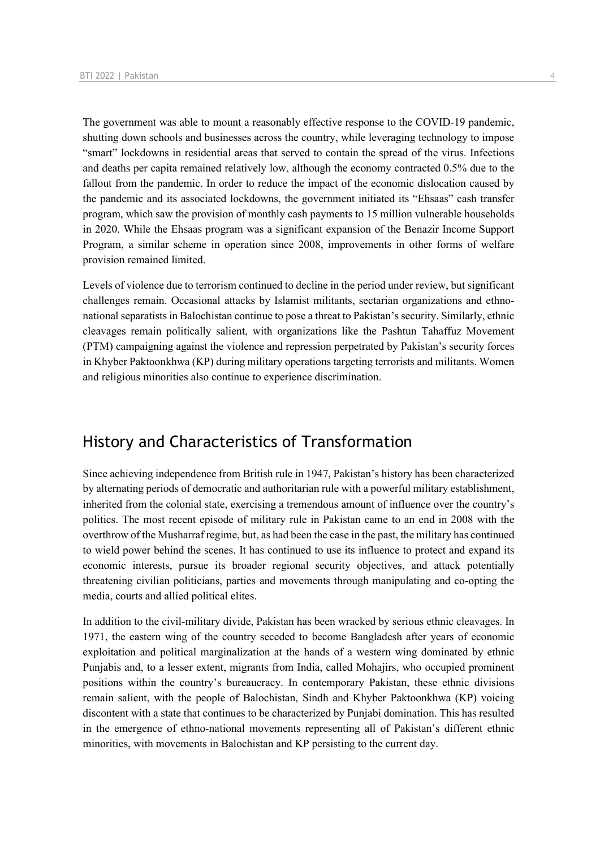The government was able to mount a reasonably effective response to the COVID-19 pandemic, shutting down schools and businesses across the country, while leveraging technology to impose "smart" lockdowns in residential areas that served to contain the spread of the virus. Infections and deaths per capita remained relatively low, although the economy contracted 0.5% due to the fallout from the pandemic. In order to reduce the impact of the economic dislocation caused by the pandemic and its associated lockdowns, the government initiated its "Ehsaas" cash transfer program, which saw the provision of monthly cash payments to 15 million vulnerable households in 2020. While the Ehsaas program was a significant expansion of the Benazir Income Support Program, a similar scheme in operation since 2008, improvements in other forms of welfare provision remained limited.

Levels of violence due to terrorism continued to decline in the period under review, but significant challenges remain. Occasional attacks by Islamist militants, sectarian organizations and ethnonational separatists in Balochistan continue to pose a threat to Pakistan's security. Similarly, ethnic cleavages remain politically salient, with organizations like the Pashtun Tahaffuz Movement (PTM) campaigning against the violence and repression perpetrated by Pakistan's security forces in Khyber Paktoonkhwa (KP) during military operations targeting terrorists and militants. Women and religious minorities also continue to experience discrimination.

## History and Characteristics of Transformation

Since achieving independence from British rule in 1947, Pakistan's history has been characterized by alternating periods of democratic and authoritarian rule with a powerful military establishment, inherited from the colonial state, exercising a tremendous amount of influence over the country's politics. The most recent episode of military rule in Pakistan came to an end in 2008 with the overthrow of the Musharraf regime, but, as had been the case in the past, the military has continued to wield power behind the scenes. It has continued to use its influence to protect and expand its economic interests, pursue its broader regional security objectives, and attack potentially threatening civilian politicians, parties and movements through manipulating and co-opting the media, courts and allied political elites.

In addition to the civil-military divide, Pakistan has been wracked by serious ethnic cleavages. In 1971, the eastern wing of the country seceded to become Bangladesh after years of economic exploitation and political marginalization at the hands of a western wing dominated by ethnic Punjabis and, to a lesser extent, migrants from India, called Mohajirs, who occupied prominent positions within the country's bureaucracy. In contemporary Pakistan, these ethnic divisions remain salient, with the people of Balochistan, Sindh and Khyber Paktoonkhwa (KP) voicing discontent with a state that continues to be characterized by Punjabi domination. This has resulted in the emergence of ethno-national movements representing all of Pakistan's different ethnic minorities, with movements in Balochistan and KP persisting to the current day.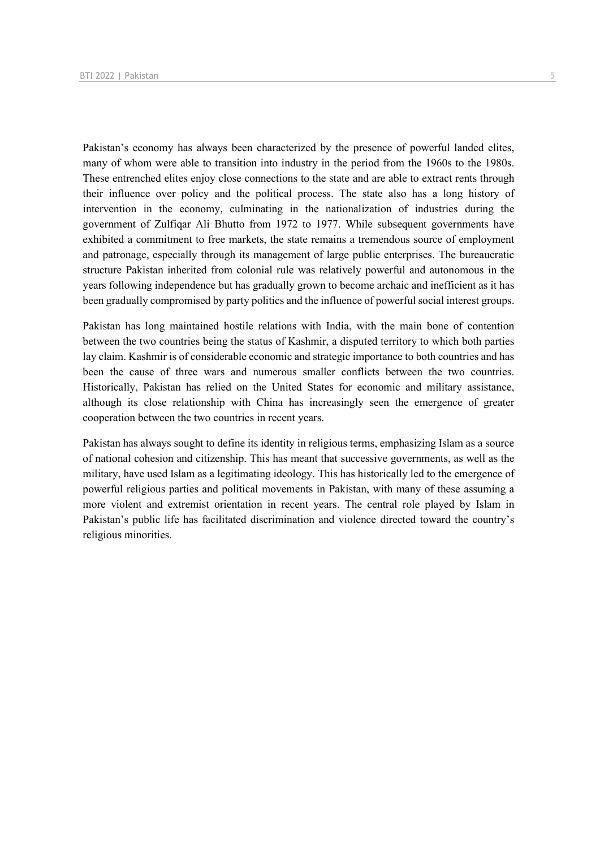Pakistan's economy has always been characterized by the presence of powerful landed elites, many of whom were able to transition into industry in the period from the 1960s to the 1980s. These entrenched elites enjoy close connections to the state and are able to extract rents through their influence over policy and the political process. The state also has a long history of intervention in the economy, culminating in the nationalization of industries during the government of Zulfiqar Ali Bhutto from 1972 to 1977. While subsequent governments have exhibited a commitment to free markets, the state remains a tremendous source of employment and patronage, especially through its management of large public enterprises. The bureaucratic structure Pakistan inherited from colonial rule was relatively powerful and autonomous in the years following independence but has gradually grown to become archaic and inefficient as it has been gradually compromised by party politics and the influence of powerful social interest groups.

Pakistan has long maintained hostile relations with India, with the main bone of contention between the two countries being the status of Kashmir, a disputed territory to which both parties lay claim. Kashmir is of considerable economic and strategic importance to both countries and has been the cause of three wars and numerous smaller conflicts between the two countries. Historically, Pakistan has relied on the United States for economic and military assistance, although its close relationship with China has increasingly seen the emergence of greater cooperation between the two countries in recent years.

Pakistan has always sought to define its identity in religious terms, emphasizing Islam as a source of national cohesion and citizenship. This has meant that successive governments, as well as the military, have used Islam as a legitimating ideology. This has historically led to the emergence of powerful religious parties and political movements in Pakistan, with many of these assuming a more violent and extremist orientation in recent years. The central role played by Islam in Pakistan's public life has facilitated discrimination and violence directed toward the country's religious minorities.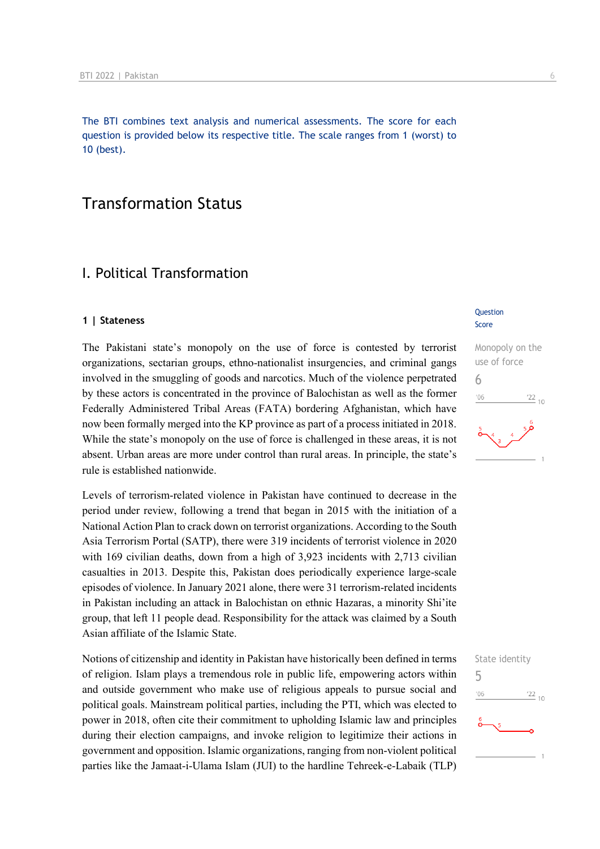The BTI combines text analysis and numerical assessments. The score for each question is provided below its respective title. The scale ranges from 1 (worst) to 10 (best).

## Transformation Status

## I. Political Transformation

#### **1 | Stateness**

The Pakistani state's monopoly on the use of force is contested by terrorist organizations, sectarian groups, ethno-nationalist insurgencies, and criminal gangs involved in the smuggling of goods and narcotics. Much of the violence perpetrated by these actors is concentrated in the province of Balochistan as well as the former Federally Administered Tribal Areas (FATA) bordering Afghanistan, which have now been formally merged into the KP province as part of a process initiated in 2018. While the state's monopoly on the use of force is challenged in these areas, it is not absent. Urban areas are more under control than rural areas. In principle, the state's rule is established nationwide.

Levels of terrorism-related violence in Pakistan have continued to decrease in the period under review, following a trend that began in 2015 with the initiation of a National Action Plan to crack down on terrorist organizations. According to the South Asia Terrorism Portal (SATP), there were 319 incidents of terrorist violence in 2020 with 169 civilian deaths, down from a high of 3,923 incidents with 2,713 civilian casualties in 2013. Despite this, Pakistan does periodically experience large-scale episodes of violence. In January 2021 alone, there were 31 terrorism-related incidents in Pakistan including an attack in Balochistan on ethnic Hazaras, a minority Shi'ite group, that left 11 people dead. Responsibility for the attack was claimed by a South Asian affiliate of the Islamic State.

Notions of citizenship and identity in Pakistan have historically been defined in terms of religion. Islam plays a tremendous role in public life, empowering actors within and outside government who make use of religious appeals to pursue social and political goals. Mainstream political parties, including the PTI, which was elected to power in 2018, often cite their commitment to upholding Islamic law and principles during their election campaigns, and invoke religion to legitimize their actions in government and opposition. Islamic organizations, ranging from non-violent political parties like the Jamaat-i-Ulama Islam (JUI) to the hardline Tehreek-e-Labaik (TLP)

### **Question** Score



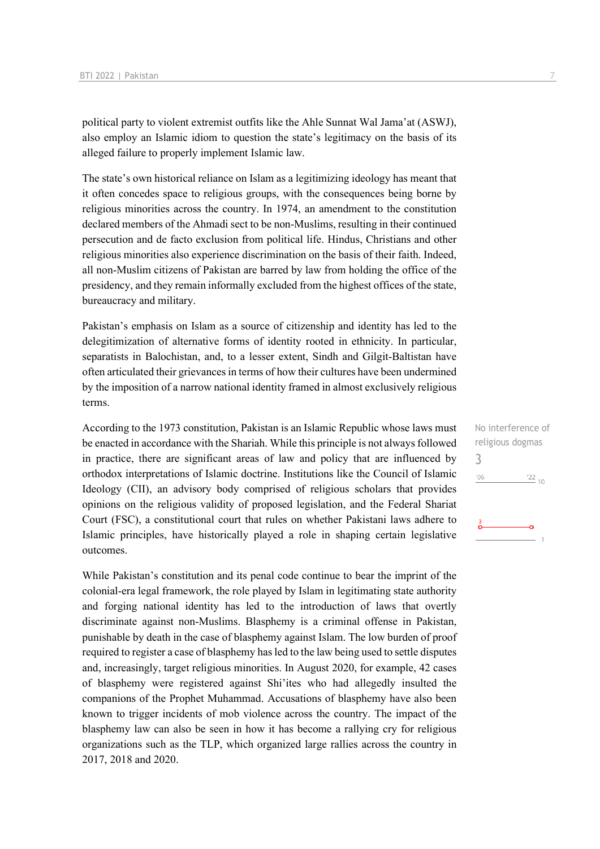political party to violent extremist outfits like the Ahle Sunnat Wal Jama'at (ASWJ), also employ an Islamic idiom to question the state's legitimacy on the basis of its alleged failure to properly implement Islamic law.

The state's own historical reliance on Islam as a legitimizing ideology has meant that it often concedes space to religious groups, with the consequences being borne by religious minorities across the country. In 1974, an amendment to the constitution declared members of the Ahmadi sect to be non-Muslims, resulting in their continued persecution and de facto exclusion from political life. Hindus, Christians and other religious minorities also experience discrimination on the basis of their faith. Indeed, all non-Muslim citizens of Pakistan are barred by law from holding the office of the presidency, and they remain informally excluded from the highest offices of the state, bureaucracy and military.

Pakistan's emphasis on Islam as a source of citizenship and identity has led to the delegitimization of alternative forms of identity rooted in ethnicity. In particular, separatists in Balochistan, and, to a lesser extent, Sindh and Gilgit-Baltistan have often articulated their grievances in terms of how their cultures have been undermined by the imposition of a narrow national identity framed in almost exclusively religious terms.

According to the 1973 constitution, Pakistan is an Islamic Republic whose laws must be enacted in accordance with the Shariah. While this principle is not always followed in practice, there are significant areas of law and policy that are influenced by orthodox interpretations of Islamic doctrine. Institutions like the Council of Islamic Ideology (CII), an advisory body comprised of religious scholars that provides opinions on the religious validity of proposed legislation, and the Federal Shariat Court (FSC), a constitutional court that rules on whether Pakistani laws adhere to Islamic principles, have historically played a role in shaping certain legislative outcomes.

While Pakistan's constitution and its penal code continue to bear the imprint of the colonial-era legal framework, the role played by Islam in legitimating state authority and forging national identity has led to the introduction of laws that overtly discriminate against non-Muslims. Blasphemy is a criminal offense in Pakistan, punishable by death in the case of blasphemy against Islam. The low burden of proof required to register a case of blasphemy has led to the law being used to settle disputes and, increasingly, target religious minorities. In August 2020, for example, 42 cases of blasphemy were registered against Shi'ites who had allegedly insulted the companions of the Prophet Muhammad. Accusations of blasphemy have also been known to trigger incidents of mob violence across the country. The impact of the blasphemy law can also be seen in how it has become a rallying cry for religious organizations such as the TLP, which organized large rallies across the country in 2017, 2018 and 2020.

No interference of religious dogmas 3 $'06$  $^{22}$  10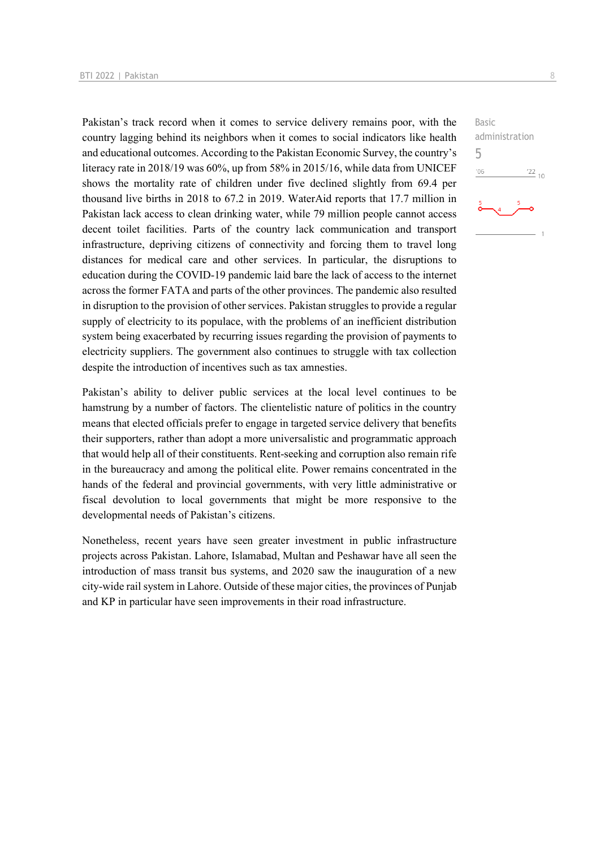Pakistan's track record when it comes to service delivery remains poor, with the country lagging behind its neighbors when it comes to social indicators like health and educational outcomes. According to the Pakistan Economic Survey, the country's literacy rate in 2018/19 was 60%, up from 58% in 2015/16, while data from UNICEF shows the mortality rate of children under five declined slightly from 69.4 per thousand live births in 2018 to 67.2 in 2019. WaterAid reports that 17.7 million in Pakistan lack access to clean drinking water, while 79 million people cannot access decent toilet facilities. Parts of the country lack communication and transport infrastructure, depriving citizens of connectivity and forcing them to travel long distances for medical care and other services. In particular, the disruptions to education during the COVID-19 pandemic laid bare the lack of access to the internet across the former FATA and parts of the other provinces. The pandemic also resulted in disruption to the provision of other services. Pakistan struggles to provide a regular supply of electricity to its populace, with the problems of an inefficient distribution system being exacerbated by recurring issues regarding the provision of payments to electricity suppliers. The government also continues to struggle with tax collection despite the introduction of incentives such as tax amnesties.

Pakistan's ability to deliver public services at the local level continues to be hamstrung by a number of factors. The clientelistic nature of politics in the country means that elected officials prefer to engage in targeted service delivery that benefits their supporters, rather than adopt a more universalistic and programmatic approach that would help all of their constituents. Rent-seeking and corruption also remain rife in the bureaucracy and among the political elite. Power remains concentrated in the hands of the federal and provincial governments, with very little administrative or fiscal devolution to local governments that might be more responsive to the developmental needs of Pakistan's citizens.

Nonetheless, recent years have seen greater investment in public infrastructure projects across Pakistan. Lahore, Islamabad, Multan and Peshawar have all seen the introduction of mass transit bus systems, and 2020 saw the inauguration of a new city-wide rail system in Lahore. Outside of these major cities, the provinces of Punjab and KP in particular have seen improvements in their road infrastructure.

Basic administration 5 $^{\prime}06$  $\frac{22}{10}$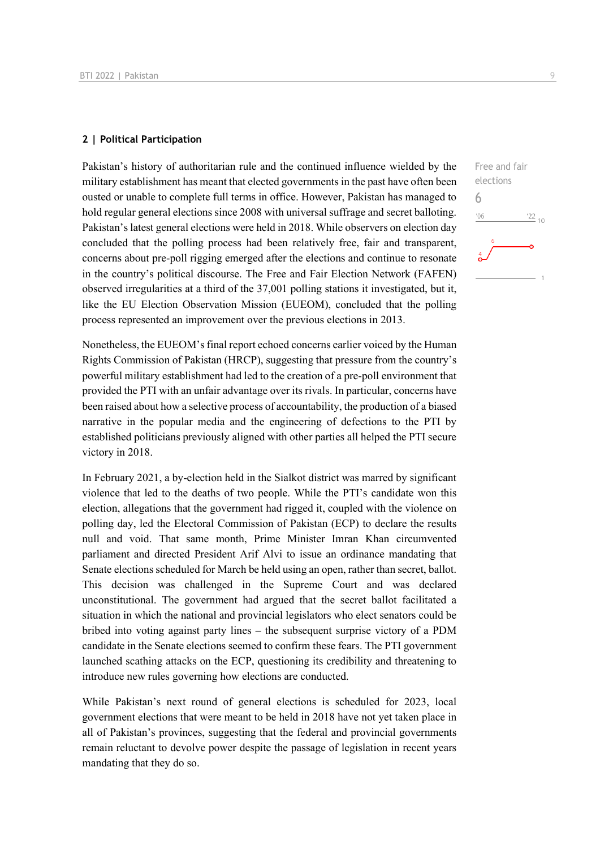### **2 | Political Participation**

Pakistan's history of authoritarian rule and the continued influence wielded by the military establishment has meant that elected governments in the past have often been ousted or unable to complete full terms in office. However, Pakistan has managed to hold regular general elections since 2008 with universal suffrage and secret balloting. Pakistan's latest general elections were held in 2018. While observers on election day concluded that the polling process had been relatively free, fair and transparent, concerns about pre-poll rigging emerged after the elections and continue to resonate in the country's political discourse. The Free and Fair Election Network (FAFEN) observed irregularities at a third of the 37,001 polling stations it investigated, but it, like the EU Election Observation Mission (EUEOM), concluded that the polling process represented an improvement over the previous elections in 2013.

Nonetheless, the EUEOM's final report echoed concerns earlier voiced by the Human Rights Commission of Pakistan (HRCP), suggesting that pressure from the country's powerful military establishment had led to the creation of a pre-poll environment that provided the PTI with an unfair advantage over its rivals. In particular, concerns have been raised about how a selective process of accountability, the production of a biased narrative in the popular media and the engineering of defections to the PTI by established politicians previously aligned with other parties all helped the PTI secure victory in 2018.

In February 2021, a by-election held in the Sialkot district was marred by significant violence that led to the deaths of two people. While the PTI's candidate won this election, allegations that the government had rigged it, coupled with the violence on polling day, led the Electoral Commission of Pakistan (ECP) to declare the results null and void. That same month, Prime Minister Imran Khan circumvented parliament and directed President Arif Alvi to issue an ordinance mandating that Senate elections scheduled for March be held using an open, rather than secret, ballot. This decision was challenged in the Supreme Court and was declared unconstitutional. The government had argued that the secret ballot facilitated a situation in which the national and provincial legislators who elect senators could be bribed into voting against party lines – the subsequent surprise victory of a PDM candidate in the Senate elections seemed to confirm these fears. The PTI government launched scathing attacks on the ECP, questioning its credibility and threatening to introduce new rules governing how elections are conducted.

While Pakistan's next round of general elections is scheduled for 2023, local government elections that were meant to be held in 2018 have not yet taken place in all of Pakistan's provinces, suggesting that the federal and provincial governments remain reluctant to devolve power despite the passage of legislation in recent years mandating that they do so.

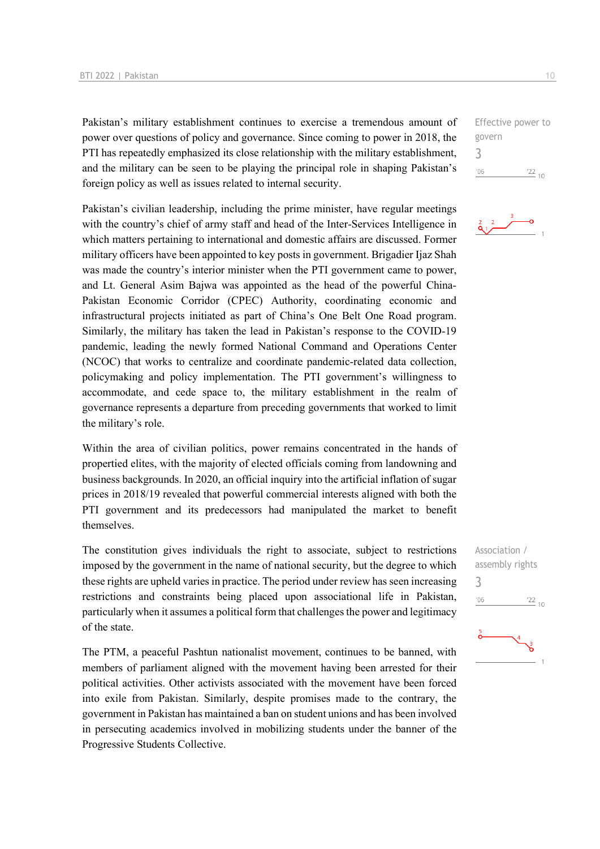Pakistan's military establishment continues to exercise a tremendous amount of power over questions of policy and governance. Since coming to power in 2018, the PTI has repeatedly emphasized its close relationship with the military establishment, and the military can be seen to be playing the principal role in shaping Pakistan's foreign policy as well as issues related to internal security.

Pakistan's civilian leadership, including the prime minister, have regular meetings with the country's chief of army staff and head of the Inter-Services Intelligence in which matters pertaining to international and domestic affairs are discussed. Former military officers have been appointed to key posts in government. Brigadier Ijaz Shah was made the country's interior minister when the PTI government came to power, and Lt. General Asim Bajwa was appointed as the head of the powerful China-Pakistan Economic Corridor (CPEC) Authority, coordinating economic and infrastructural projects initiated as part of China's One Belt One Road program. Similarly, the military has taken the lead in Pakistan's response to the COVID-19 pandemic, leading the newly formed National Command and Operations Center (NCOC) that works to centralize and coordinate pandemic-related data collection, policymaking and policy implementation. The PTI government's willingness to accommodate, and cede space to, the military establishment in the realm of governance represents a departure from preceding governments that worked to limit the military's role.

Within the area of civilian politics, power remains concentrated in the hands of propertied elites, with the majority of elected officials coming from landowning and business backgrounds. In 2020, an official inquiry into the artificial inflation of sugar prices in 2018/19 revealed that powerful commercial interests aligned with both the PTI government and its predecessors had manipulated the market to benefit themselves.

The constitution gives individuals the right to associate, subject to restrictions imposed by the government in the name of national security, but the degree to which these rights are upheld varies in practice. The period under review has seen increasing restrictions and constraints being placed upon associational life in Pakistan, particularly when it assumes a political form that challenges the power and legitimacy of the state.

The PTM, a peaceful Pashtun nationalist movement, continues to be banned, with members of parliament aligned with the movement having been arrested for their political activities. Other activists associated with the movement have been forced into exile from Pakistan. Similarly, despite promises made to the contrary, the government in Pakistan has maintained a ban on student unions and has been involved in persecuting academics involved in mobilizing students under the banner of the Progressive Students Collective.

Effective power to govern 3  $^{\prime}06$  $\frac{22}{10}$ 



Association / assembly rights 3 $-06$  $\frac{22}{10}$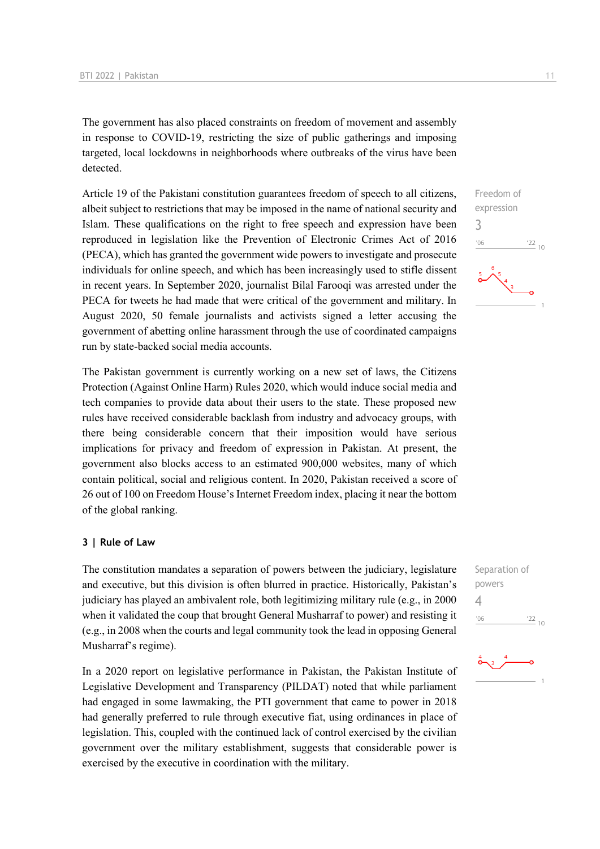The government has also placed constraints on freedom of movement and assembly in response to COVID-19, restricting the size of public gatherings and imposing targeted, local lockdowns in neighborhoods where outbreaks of the virus have been detected.

Article 19 of the Pakistani constitution guarantees freedom of speech to all citizens, albeit subject to restrictions that may be imposed in the name of national security and Islam. These qualifications on the right to free speech and expression have been reproduced in legislation like the Prevention of Electronic Crimes Act of 2016 (PECA), which has granted the government wide powers to investigate and prosecute individuals for online speech, and which has been increasingly used to stifle dissent in recent years. In September 2020, journalist Bilal Farooqi was arrested under the PECA for tweets he had made that were critical of the government and military. In August 2020, 50 female journalists and activists signed a letter accusing the government of abetting online harassment through the use of coordinated campaigns run by state-backed social media accounts.

The Pakistan government is currently working on a new set of laws, the Citizens Protection (Against Online Harm) Rules 2020, which would induce social media and tech companies to provide data about their users to the state. These proposed new rules have received considerable backlash from industry and advocacy groups, with there being considerable concern that their imposition would have serious implications for privacy and freedom of expression in Pakistan. At present, the government also blocks access to an estimated 900,000 websites, many of which contain political, social and religious content. In 2020, Pakistan received a score of 26 out of 100 on Freedom House's Internet Freedom index, placing it near the bottom of the global ranking.

### **3 | Rule of Law**

The constitution mandates a separation of powers between the judiciary, legislature and executive, but this division is often blurred in practice. Historically, Pakistan's judiciary has played an ambivalent role, both legitimizing military rule (e.g., in 2000 when it validated the coup that brought General Musharraf to power) and resisting it (e.g., in 2008 when the courts and legal community took the lead in opposing General Musharraf's regime).

In a 2020 report on legislative performance in Pakistan, the Pakistan Institute of Legislative Development and Transparency (PILDAT) noted that while parliament had engaged in some lawmaking, the PTI government that came to power in 2018 had generally preferred to rule through executive fiat, using ordinances in place of legislation. This, coupled with the continued lack of control exercised by the civilian government over the military establishment, suggests that considerable power is exercised by the executive in coordination with the military.



Separation of powers 4 $06'$  $\frac{22}{10}$ 

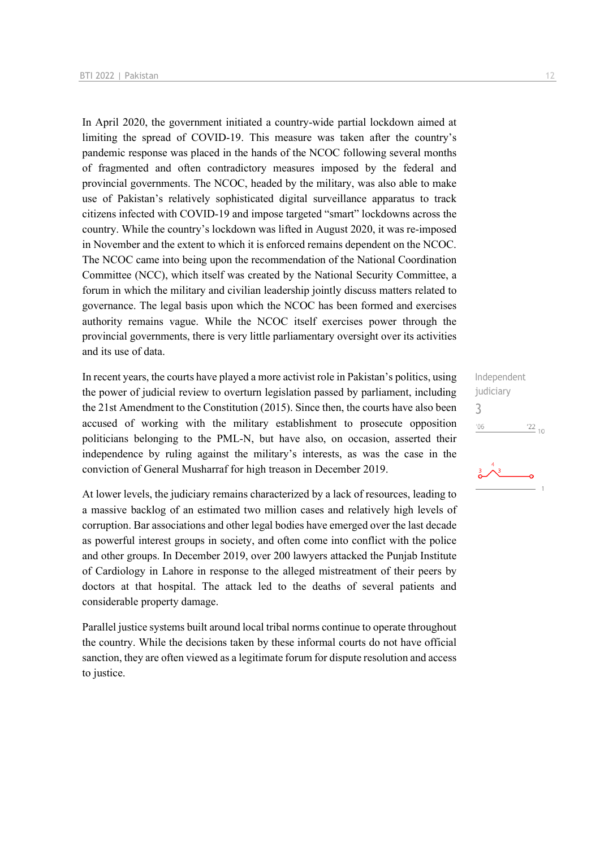In April 2020, the government initiated a country-wide partial lockdown aimed at limiting the spread of COVID-19. This measure was taken after the country's pandemic response was placed in the hands of the NCOC following several months of fragmented and often contradictory measures imposed by the federal and provincial governments. The NCOC, headed by the military, was also able to make use of Pakistan's relatively sophisticated digital surveillance apparatus to track citizens infected with COVID-19 and impose targeted "smart" lockdowns across the country. While the country's lockdown was lifted in August 2020, it was re-imposed in November and the extent to which it is enforced remains dependent on the NCOC. The NCOC came into being upon the recommendation of the National Coordination Committee (NCC), which itself was created by the National Security Committee, a forum in which the military and civilian leadership jointly discuss matters related to governance. The legal basis upon which the NCOC has been formed and exercises authority remains vague. While the NCOC itself exercises power through the provincial governments, there is very little parliamentary oversight over its activities and its use of data.

In recent years, the courts have played a more activist role in Pakistan's politics, using the power of judicial review to overturn legislation passed by parliament, including the 21st Amendment to the Constitution (2015). Since then, the courts have also been accused of working with the military establishment to prosecute opposition politicians belonging to the PML-N, but have also, on occasion, asserted their independence by ruling against the military's interests, as was the case in the conviction of General Musharraf for high treason in December 2019.

At lower levels, the judiciary remains characterized by a lack of resources, leading to a massive backlog of an estimated two million cases and relatively high levels of corruption. Bar associations and other legal bodies have emerged over the last decade as powerful interest groups in society, and often come into conflict with the police and other groups. In December 2019, over 200 lawyers attacked the Punjab Institute of Cardiology in Lahore in response to the alleged mistreatment of their peers by doctors at that hospital. The attack led to the deaths of several patients and considerable property damage.

Parallel justice systems built around local tribal norms continue to operate throughout the country. While the decisions taken by these informal courts do not have official sanction, they are often viewed as a legitimate forum for dispute resolution and access to justice.

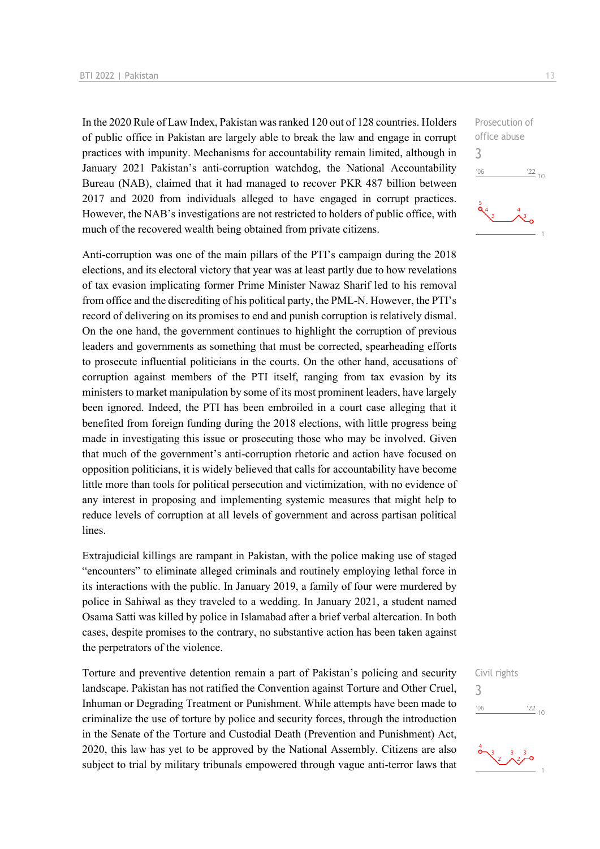In the 2020 Rule of Law Index, Pakistan was ranked 120 out of 128 countries. Holders of public office in Pakistan are largely able to break the law and engage in corrupt practices with impunity. Mechanisms for accountability remain limited, although in January 2021 Pakistan's anti-corruption watchdog, the National Accountability Bureau (NAB), claimed that it had managed to recover PKR 487 billion between 2017 and 2020 from individuals alleged to have engaged in corrupt practices. However, the NAB's investigations are not restricted to holders of public office, with much of the recovered wealth being obtained from private citizens.

Anti-corruption was one of the main pillars of the PTI's campaign during the 2018 elections, and its electoral victory that year was at least partly due to how revelations of tax evasion implicating former Prime Minister Nawaz Sharif led to his removal from office and the discrediting of his political party, the PML-N. However, the PTI's record of delivering on its promises to end and punish corruption is relatively dismal. On the one hand, the government continues to highlight the corruption of previous leaders and governments as something that must be corrected, spearheading efforts to prosecute influential politicians in the courts. On the other hand, accusations of corruption against members of the PTI itself, ranging from tax evasion by its ministers to market manipulation by some of its most prominent leaders, have largely been ignored. Indeed, the PTI has been embroiled in a court case alleging that it benefited from foreign funding during the 2018 elections, with little progress being made in investigating this issue or prosecuting those who may be involved. Given that much of the government's anti-corruption rhetoric and action have focused on opposition politicians, it is widely believed that calls for accountability have become little more than tools for political persecution and victimization, with no evidence of any interest in proposing and implementing systemic measures that might help to reduce levels of corruption at all levels of government and across partisan political lines.

Extrajudicial killings are rampant in Pakistan, with the police making use of staged "encounters" to eliminate alleged criminals and routinely employing lethal force in its interactions with the public. In January 2019, a family of four were murdered by police in Sahiwal as they traveled to a wedding. In January 2021, a student named Osama Satti was killed by police in Islamabad after a brief verbal altercation. In both cases, despite promises to the contrary, no substantive action has been taken against the perpetrators of the violence.

Torture and preventive detention remain a part of Pakistan's policing and security landscape. Pakistan has not ratified the Convention against Torture and Other Cruel, Inhuman or Degrading Treatment or Punishment. While attempts have been made to criminalize the use of torture by police and security forces, through the introduction in the Senate of the Torture and Custodial Death (Prevention and Punishment) Act, 2020, this law has yet to be approved by the National Assembly. Citizens are also subject to trial by military tribunals empowered through vague anti-terror laws that

Prosecution of office abuse 3  $-06$  $\frac{22}{10}$ 

### Civil rights



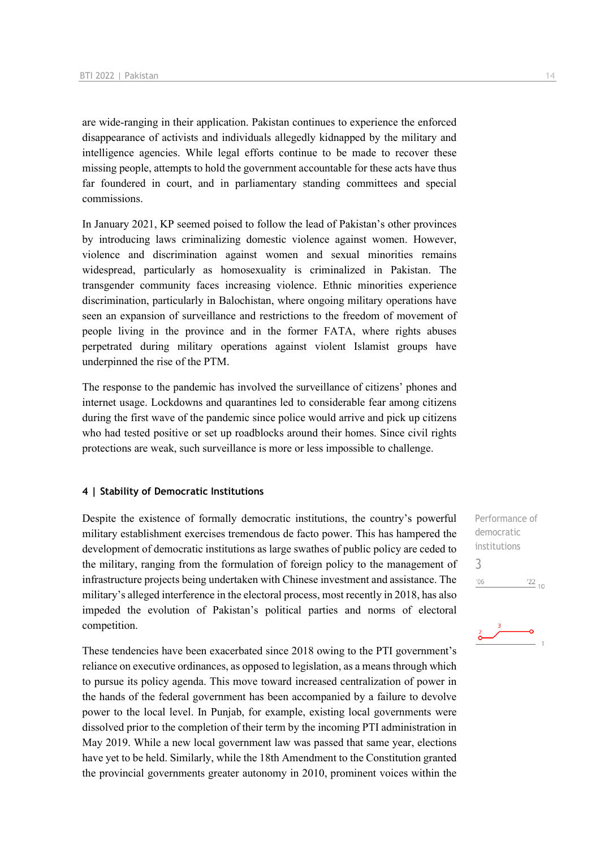are wide-ranging in their application. Pakistan continues to experience the enforced disappearance of activists and individuals allegedly kidnapped by the military and intelligence agencies. While legal efforts continue to be made to recover these missing people, attempts to hold the government accountable for these acts have thus far foundered in court, and in parliamentary standing committees and special commissions.

In January 2021, KP seemed poised to follow the lead of Pakistan's other provinces by introducing laws criminalizing domestic violence against women. However, violence and discrimination against women and sexual minorities remains widespread, particularly as homosexuality is criminalized in Pakistan. The transgender community faces increasing violence. Ethnic minorities experience discrimination, particularly in Balochistan, where ongoing military operations have seen an expansion of surveillance and restrictions to the freedom of movement of people living in the province and in the former FATA, where rights abuses perpetrated during military operations against violent Islamist groups have underpinned the rise of the PTM.

The response to the pandemic has involved the surveillance of citizens' phones and internet usage. Lockdowns and quarantines led to considerable fear among citizens during the first wave of the pandemic since police would arrive and pick up citizens who had tested positive or set up roadblocks around their homes. Since civil rights protections are weak, such surveillance is more or less impossible to challenge.

### **4 | Stability of Democratic Institutions**

Despite the existence of formally democratic institutions, the country's powerful military establishment exercises tremendous de facto power. This has hampered the development of democratic institutions as large swathes of public policy are ceded to the military, ranging from the formulation of foreign policy to the management of infrastructure projects being undertaken with Chinese investment and assistance. The military's alleged interference in the electoral process, most recently in 2018, has also impeded the evolution of Pakistan's political parties and norms of electoral competition.

These tendencies have been exacerbated since 2018 owing to the PTI government's reliance on executive ordinances, as opposed to legislation, as a means through which to pursue its policy agenda. This move toward increased centralization of power in the hands of the federal government has been accompanied by a failure to devolve power to the local level. In Punjab, for example, existing local governments were dissolved prior to the completion of their term by the incoming PTI administration in May 2019. While a new local government law was passed that same year, elections have yet to be held. Similarly, while the 18th Amendment to the Constitution granted the provincial governments greater autonomy in 2010, prominent voices within the

Performance of democratic institutions 3 $^{\prime}06$  $\frac{22}{10}$ 

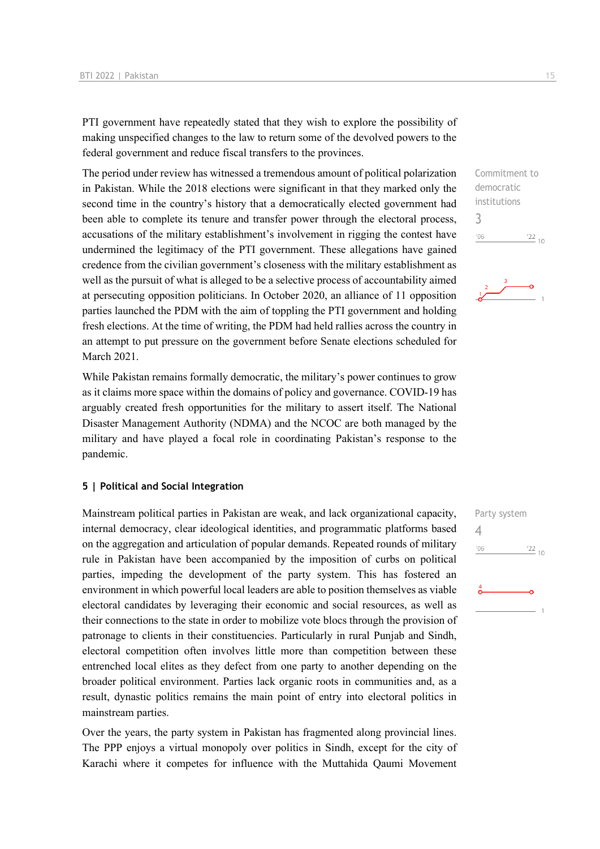PTI government have repeatedly stated that they wish to explore the possibility of making unspecified changes to the law to return some of the devolved powers to the federal government and reduce fiscal transfers to the provinces.

The period under review has witnessed a tremendous amount of political polarization in Pakistan. While the 2018 elections were significant in that they marked only the second time in the country's history that a democratically elected government had been able to complete its tenure and transfer power through the electoral process, accusations of the military establishment's involvement in rigging the contest have undermined the legitimacy of the PTI government. These allegations have gained credence from the civilian government's closeness with the military establishment as well as the pursuit of what is alleged to be a selective process of accountability aimed at persecuting opposition politicians. In October 2020, an alliance of 11 opposition parties launched the PDM with the aim of toppling the PTI government and holding fresh elections. At the time of writing, the PDM had held rallies across the country in an attempt to put pressure on the government before Senate elections scheduled for March 2021.

While Pakistan remains formally democratic, the military's power continues to grow as it claims more space within the domains of policy and governance. COVID-19 has arguably created fresh opportunities for the military to assert itself. The National Disaster Management Authority (NDMA) and the NCOC are both managed by the military and have played a focal role in coordinating Pakistan's response to the pandemic.

#### **5 | Political and Social Integration**

Mainstream political parties in Pakistan are weak, and lack organizational capacity, internal democracy, clear ideological identities, and programmatic platforms based on the aggregation and articulation of popular demands. Repeated rounds of military rule in Pakistan have been accompanied by the imposition of curbs on political parties, impeding the development of the party system. This has fostered an environment in which powerful local leaders are able to position themselves as viable electoral candidates by leveraging their economic and social resources, as well as their connections to the state in order to mobilize vote blocs through the provision of patronage to clients in their constituencies. Particularly in rural Punjab and Sindh, electoral competition often involves little more than competition between these entrenched local elites as they defect from one party to another depending on the broader political environment. Parties lack organic roots in communities and, as a result, dynastic politics remains the main point of entry into electoral politics in mainstream parties.

Over the years, the party system in Pakistan has fragmented along provincial lines. The PPP enjoys a virtual monopoly over politics in Sindh, except for the city of Karachi where it competes for influence with the Muttahida Qaumi Movement

Commitment to democratic institutions 3  $\frac{22}{10}$  $'06$ 

$$
\begin{array}{c|c}\n & \stackrel{3}{\overbrace{\smile}} & \circ \\
\hline\n & & \circ\n\end{array}
$$

Party system  $\Delta$  $^{\prime}06$  $\frac{22}{10}$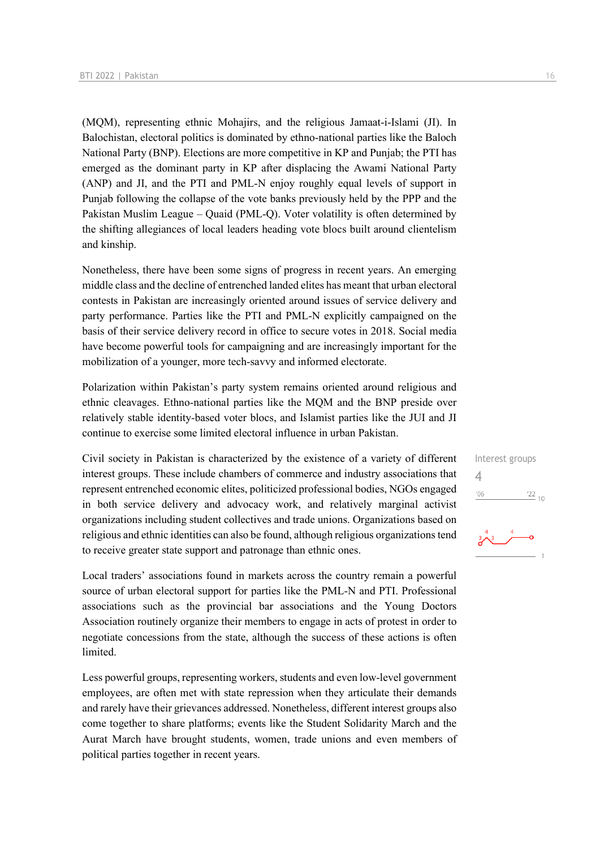(MQM), representing ethnic Mohajirs, and the religious Jamaat-i-Islami (JI). In Balochistan, electoral politics is dominated by ethno-national parties like the Baloch National Party (BNP). Elections are more competitive in KP and Punjab; the PTI has emerged as the dominant party in KP after displacing the Awami National Party (ANP) and JI, and the PTI and PML-N enjoy roughly equal levels of support in Punjab following the collapse of the vote banks previously held by the PPP and the Pakistan Muslim League – Quaid (PML-Q). Voter volatility is often determined by the shifting allegiances of local leaders heading vote blocs built around clientelism and kinship.

Nonetheless, there have been some signs of progress in recent years. An emerging middle class and the decline of entrenched landed elites has meant that urban electoral contests in Pakistan are increasingly oriented around issues of service delivery and party performance. Parties like the PTI and PML-N explicitly campaigned on the basis of their service delivery record in office to secure votes in 2018. Social media have become powerful tools for campaigning and are increasingly important for the mobilization of a younger, more tech-savvy and informed electorate.

Polarization within Pakistan's party system remains oriented around religious and ethnic cleavages. Ethno-national parties like the MQM and the BNP preside over relatively stable identity-based voter blocs, and Islamist parties like the JUI and JI continue to exercise some limited electoral influence in urban Pakistan.

Civil society in Pakistan is characterized by the existence of a variety of different interest groups. These include chambers of commerce and industry associations that represent entrenched economic elites, politicized professional bodies, NGOs engaged in both service delivery and advocacy work, and relatively marginal activist organizations including student collectives and trade unions. Organizations based on religious and ethnic identities can also be found, although religious organizations tend to receive greater state support and patronage than ethnic ones.

Local traders' associations found in markets across the country remain a powerful source of urban electoral support for parties like the PML-N and PTI. Professional associations such as the provincial bar associations and the Young Doctors Association routinely organize their members to engage in acts of protest in order to negotiate concessions from the state, although the success of these actions is often limited.

Less powerful groups, representing workers, students and even low-level government employees, are often met with state repression when they articulate their demands and rarely have their grievances addressed. Nonetheless, different interest groups also come together to share platforms; events like the Student Solidarity March and the Aurat March have brought students, women, trade unions and even members of political parties together in recent years.

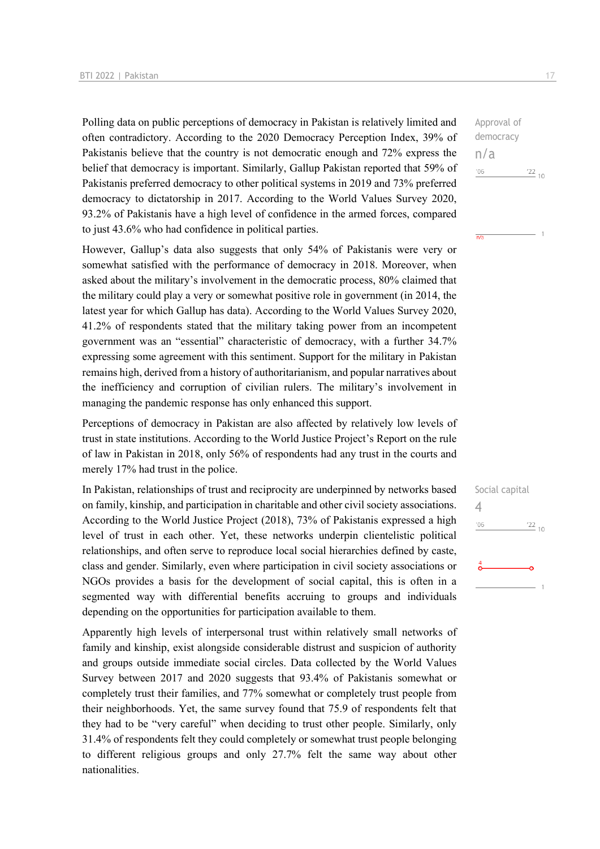Polling data on public perceptions of democracy in Pakistan is relatively limited and often contradictory. According to the 2020 Democracy Perception Index, 39% of Pakistanis believe that the country is not democratic enough and 72% express the belief that democracy is important. Similarly, Gallup Pakistan reported that 59% of Pakistanis preferred democracy to other political systems in 2019 and 73% preferred democracy to dictatorship in 2017. According to the World Values Survey 2020, 93.2% of Pakistanis have a high level of confidence in the armed forces, compared to just 43.6% who had confidence in political parties.

However, Gallup's data also suggests that only 54% of Pakistanis were very or somewhat satisfied with the performance of democracy in 2018. Moreover, when asked about the military's involvement in the democratic process, 80% claimed that the military could play a very or somewhat positive role in government (in 2014, the latest year for which Gallup has data). According to the World Values Survey 2020, 41.2% of respondents stated that the military taking power from an incompetent government was an "essential" characteristic of democracy, with a further 34.7% expressing some agreement with this sentiment. Support for the military in Pakistan remains high, derived from a history of authoritarianism, and popular narratives about the inefficiency and corruption of civilian rulers. The military's involvement in managing the pandemic response has only enhanced this support.

Perceptions of democracy in Pakistan are also affected by relatively low levels of trust in state institutions. According to the World Justice Project's Report on the rule of law in Pakistan in 2018, only 56% of respondents had any trust in the courts and merely 17% had trust in the police.

In Pakistan, relationships of trust and reciprocity are underpinned by networks based on family, kinship, and participation in charitable and other civil society associations. According to the World Justice Project (2018), 73% of Pakistanis expressed a high level of trust in each other. Yet, these networks underpin clientelistic political relationships, and often serve to reproduce local social hierarchies defined by caste, class and gender. Similarly, even where participation in civil society associations or NGOs provides a basis for the development of social capital, this is often in a segmented way with differential benefits accruing to groups and individuals depending on the opportunities for participation available to them.

Apparently high levels of interpersonal trust within relatively small networks of family and kinship, exist alongside considerable distrust and suspicion of authority and groups outside immediate social circles. Data collected by the World Values Survey between 2017 and 2020 suggests that 93.4% of Pakistanis somewhat or completely trust their families, and 77% somewhat or completely trust people from their neighborhoods. Yet, the same survey found that 75.9 of respondents felt that they had to be "very careful" when deciding to trust other people. Similarly, only 31.4% of respondents felt they could completely or somewhat trust people belonging to different religious groups and only 27.7% felt the same way about other nationalities.

Approval of democracy n/a  $^{\prime}06$  $\frac{22}{10}$ 

 $\overline{n/a}$ 

Social capital 4 $^{\prime}06$  $\frac{22}{10}$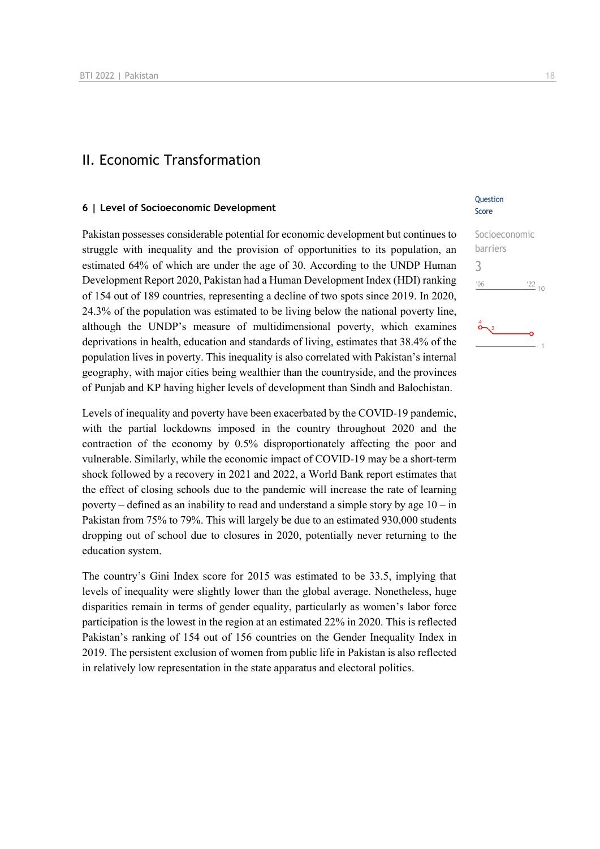### II. Economic Transformation

### **6 | Level of Socioeconomic Development**

Pakistan possesses considerable potential for economic development but continues to struggle with inequality and the provision of opportunities to its population, an estimated 64% of which are under the age of 30. According to the UNDP Human Development Report 2020, Pakistan had a Human Development Index (HDI) ranking of 154 out of 189 countries, representing a decline of two spots since 2019. In 2020, 24.3% of the population was estimated to be living below the national poverty line, although the UNDP's measure of multidimensional poverty, which examines deprivations in health, education and standards of living, estimates that 38.4% of the population lives in poverty. This inequality is also correlated with Pakistan's internal geography, with major cities being wealthier than the countryside, and the provinces of Punjab and KP having higher levels of development than Sindh and Balochistan.

Levels of inequality and poverty have been exacerbated by the COVID-19 pandemic, with the partial lockdowns imposed in the country throughout 2020 and the contraction of the economy by 0.5% disproportionately affecting the poor and vulnerable. Similarly, while the economic impact of COVID-19 may be a short-term shock followed by a recovery in 2021 and 2022, a World Bank report estimates that the effect of closing schools due to the pandemic will increase the rate of learning poverty – defined as an inability to read and understand a simple story by age 10 – in Pakistan from 75% to 79%. This will largely be due to an estimated 930,000 students dropping out of school due to closures in 2020, potentially never returning to the education system.

The country's Gini Index score for 2015 was estimated to be 33.5, implying that levels of inequality were slightly lower than the global average. Nonetheless, huge disparities remain in terms of gender equality, particularly as women's labor force participation is the lowest in the region at an estimated 22% in 2020. This is reflected Pakistan's ranking of 154 out of 156 countries on the Gender Inequality Index in 2019. The persistent exclusion of women from public life in Pakistan is also reflected in relatively low representation in the state apparatus and electoral politics.

### **Ouestion** Score

## Socioeconomic barriers 3 $-06$  $\frac{22}{10}$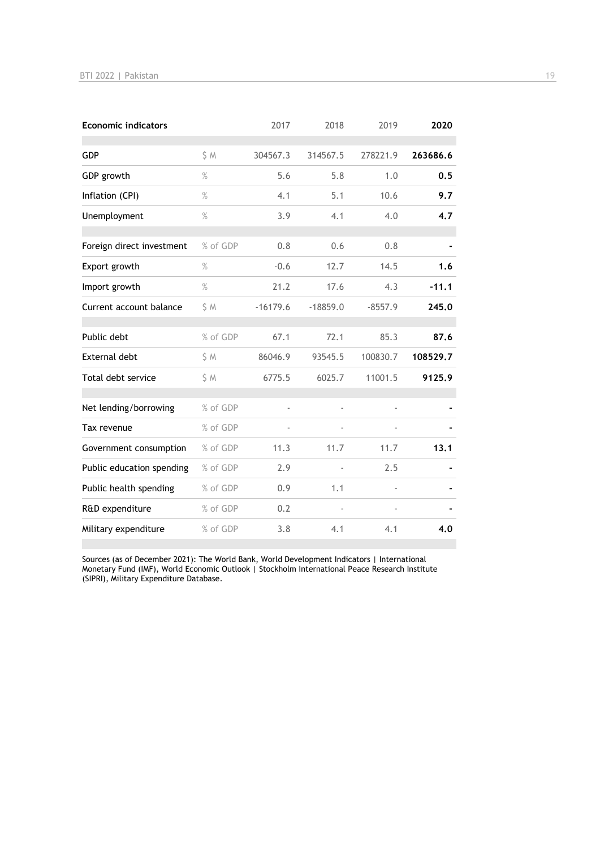| <b>Economic indicators</b> |          | 2017       | 2018       | 2019      | 2020     |
|----------------------------|----------|------------|------------|-----------|----------|
| GDP                        | S M      | 304567.3   | 314567.5   | 278221.9  | 263686.6 |
| GDP growth                 | $\%$     | 5.6        | 5.8        | 1.0       | 0.5      |
| Inflation (CPI)            | $\%$     | 4.1        | 5.1        | 10.6      | 9.7      |
| Unemployment               | $\%$     | 3.9        | 4.1        | 4.0       | 4.7      |
| Foreign direct investment  | % of GDP | 0.8        | 0.6        | 0.8       |          |
| Export growth              | $\%$     | $-0.6$     | 12.7       | 14.5      | 1.6      |
| Import growth              | $\%$     | 21.2       | 17.6       | 4.3       | $-11.1$  |
| Current account balance    | S M      | $-16179.6$ | $-18859.0$ | $-8557.9$ | 245.0    |
| Public debt                | % of GDP | 67.1       | 72.1       | 85.3      | 87.6     |
| <b>External debt</b>       | \$ M     | 86046.9    | 93545.5    | 100830.7  | 108529.7 |
| Total debt service         | S M      | 6775.5     | 6025.7     | 11001.5   | 9125.9   |
| Net lending/borrowing      | % of GDP | ä,         |            |           |          |
| Tax revenue                | % of GDP |            |            |           |          |
| Government consumption     | % of GDP | 11.3       | 11.7       | 11.7      | 13.1     |
| Public education spending  | % of GDP | 2.9        |            | 2.5       |          |
| Public health spending     | % of GDP | 0.9        | 1.1        |           |          |
| R&D expenditure            | % of GDP | 0.2        |            |           |          |
| Military expenditure       | % of GDP | 3.8        | 4.1        | 4.1       | 4.0      |

Sources (as of December 2021): The World Bank, World Development Indicators | International Monetary Fund (IMF), World Economic Outlook | Stockholm International Peace Research Institute (SIPRI), Military Expenditure Database.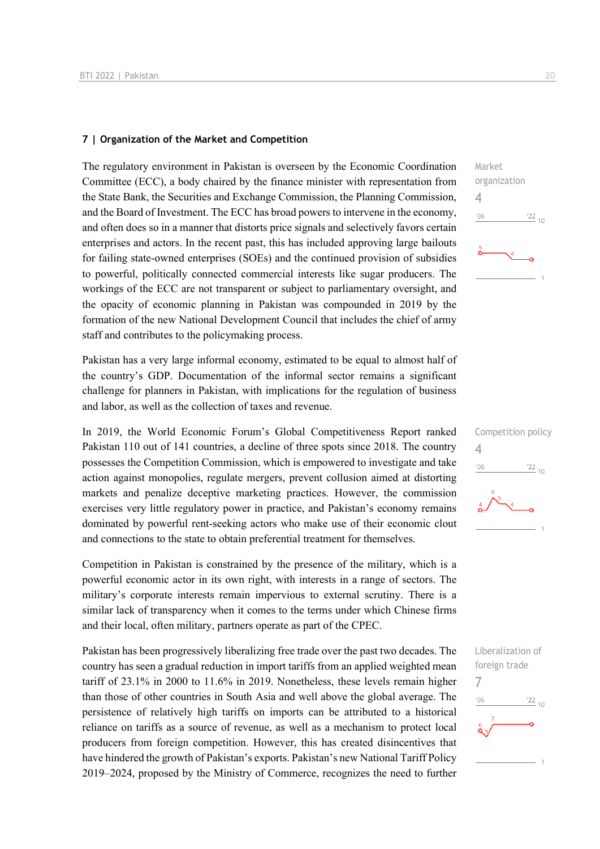### **7 | Organization of the Market and Competition**

The regulatory environment in Pakistan is overseen by the Economic Coordination Committee (ECC), a body chaired by the finance minister with representation from the State Bank, the Securities and Exchange Commission, the Planning Commission, and the Board of Investment. The ECC has broad powers to intervene in the economy, and often does so in a manner that distorts price signals and selectively favors certain enterprises and actors. In the recent past, this has included approving large bailouts for failing state-owned enterprises (SOEs) and the continued provision of subsidies to powerful, politically connected commercial interests like sugar producers. The workings of the ECC are not transparent or subject to parliamentary oversight, and the opacity of economic planning in Pakistan was compounded in 2019 by the formation of the new National Development Council that includes the chief of army staff and contributes to the policymaking process.

Pakistan has a very large informal economy, estimated to be equal to almost half of the country's GDP. Documentation of the informal sector remains a significant challenge for planners in Pakistan, with implications for the regulation of business and labor, as well as the collection of taxes and revenue.

In 2019, the World Economic Forum's Global Competitiveness Report ranked Pakistan 110 out of 141 countries, a decline of three spots since 2018. The country possesses the Competition Commission, which is empowered to investigate and take action against monopolies, regulate mergers, prevent collusion aimed at distorting markets and penalize deceptive marketing practices. However, the commission exercises very little regulatory power in practice, and Pakistan's economy remains dominated by powerful rent-seeking actors who make use of their economic clout and connections to the state to obtain preferential treatment for themselves.

Competition in Pakistan is constrained by the presence of the military, which is a powerful economic actor in its own right, with interests in a range of sectors. The military's corporate interests remain impervious to external scrutiny. There is a similar lack of transparency when it comes to the terms under which Chinese firms and their local, often military, partners operate as part of the CPEC.

Pakistan has been progressively liberalizing free trade over the past two decades. The country has seen a gradual reduction in import tariffs from an applied weighted mean tariff of 23.1% in 2000 to 11.6% in 2019. Nonetheless, these levels remain higher than those of other countries in South Asia and well above the global average. The persistence of relatively high tariffs on imports can be attributed to a historical reliance on tariffs as a source of revenue, as well as a mechanism to protect local producers from foreign competition. However, this has created disincentives that have hindered the growth of Pakistan's exports. Pakistan's new National Tariff Policy 2019–2024, proposed by the Ministry of Commerce, recognizes the need to further





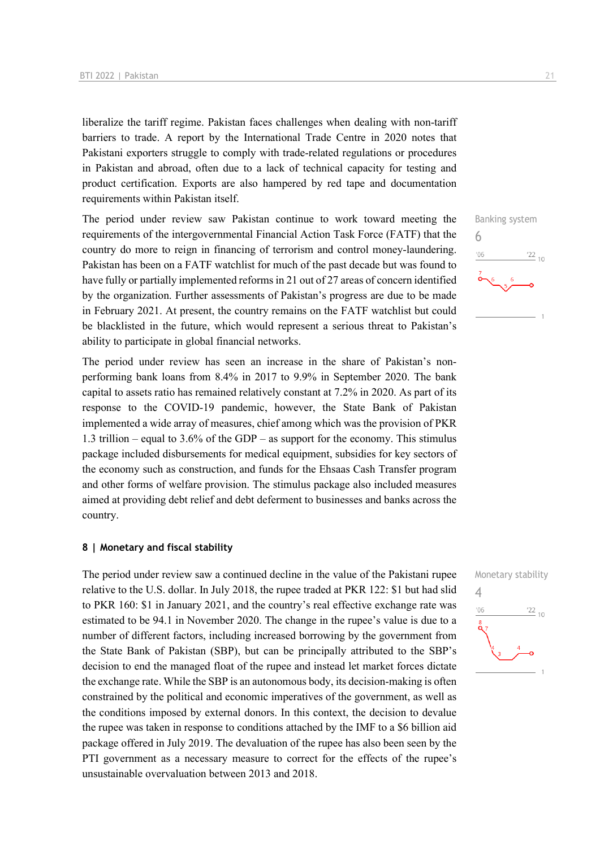liberalize the tariff regime. Pakistan faces challenges when dealing with non-tariff barriers to trade. A report by the International Trade Centre in 2020 notes that Pakistani exporters struggle to comply with trade-related regulations or procedures in Pakistan and abroad, often due to a lack of technical capacity for testing and product certification. Exports are also hampered by red tape and documentation requirements within Pakistan itself.

The period under review saw Pakistan continue to work toward meeting the requirements of the intergovernmental Financial Action Task Force (FATF) that the country do more to reign in financing of terrorism and control money-laundering. Pakistan has been on a FATF watchlist for much of the past decade but was found to have fully or partially implemented reforms in 21 out of 27 areas of concern identified by the organization. Further assessments of Pakistan's progress are due to be made in February 2021. At present, the country remains on the FATF watchlist but could be blacklisted in the future, which would represent a serious threat to Pakistan's ability to participate in global financial networks.

The period under review has seen an increase in the share of Pakistan's nonperforming bank loans from 8.4% in 2017 to 9.9% in September 2020. The bank capital to assets ratio has remained relatively constant at 7.2% in 2020. As part of its response to the COVID-19 pandemic, however, the State Bank of Pakistan implemented a wide array of measures, chief among which was the provision of PKR 1.3 trillion – equal to 3.6% of the GDP – as support for the economy. This stimulus package included disbursements for medical equipment, subsidies for key sectors of the economy such as construction, and funds for the Ehsaas Cash Transfer program and other forms of welfare provision. The stimulus package also included measures aimed at providing debt relief and debt deferment to businesses and banks across the country.

### **8 | Monetary and fiscal stability**

The period under review saw a continued decline in the value of the Pakistani rupee relative to the U.S. dollar. In July 2018, the rupee traded at PKR 122: \$1 but had slid to PKR 160: \$1 in January 2021, and the country's real effective exchange rate was estimated to be 94.1 in November 2020. The change in the rupee's value is due to a number of different factors, including increased borrowing by the government from the State Bank of Pakistan (SBP), but can be principally attributed to the SBP's decision to end the managed float of the rupee and instead let market forces dictate the exchange rate. While the SBP is an autonomous body, its decision-making is often constrained by the political and economic imperatives of the government, as well as the conditions imposed by external donors. In this context, the decision to devalue the rupee was taken in response to conditions attached by the IMF to a \$6 billion aid package offered in July 2019. The devaluation of the rupee has also been seen by the PTI government as a necessary measure to correct for the effects of the rupee's unsustainable overvaluation between 2013 and 2018.



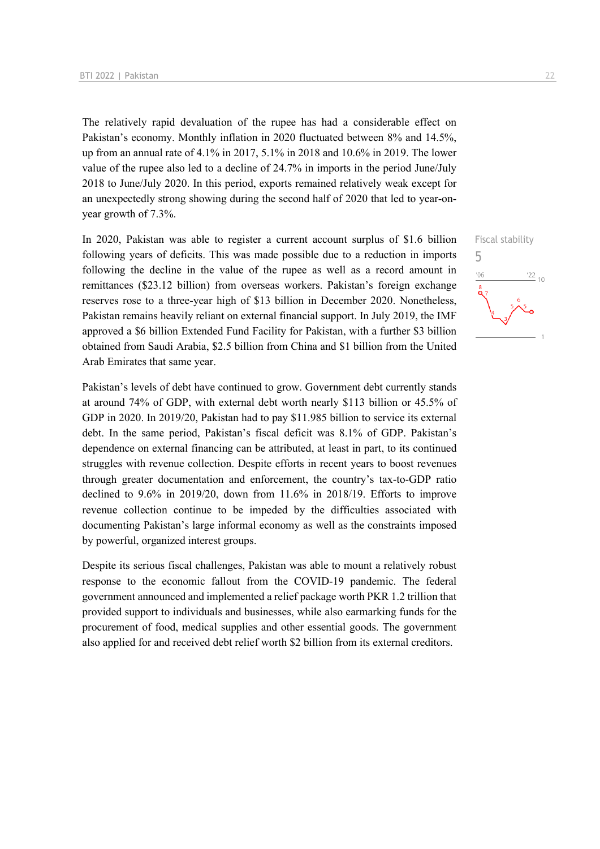The relatively rapid devaluation of the rupee has had a considerable effect on Pakistan's economy. Monthly inflation in 2020 fluctuated between 8% and 14.5%, up from an annual rate of 4.1% in 2017, 5.1% in 2018 and 10.6% in 2019. The lower value of the rupee also led to a decline of 24.7% in imports in the period June/July 2018 to June/July 2020. In this period, exports remained relatively weak except for an unexpectedly strong showing during the second half of 2020 that led to year-onyear growth of 7.3%.

In 2020, Pakistan was able to register a current account surplus of \$1.6 billion following years of deficits. This was made possible due to a reduction in imports following the decline in the value of the rupee as well as a record amount in remittances (\$23.12 billion) from overseas workers. Pakistan's foreign exchange reserves rose to a three-year high of \$13 billion in December 2020. Nonetheless, Pakistan remains heavily reliant on external financial support. In July 2019, the IMF approved a \$6 billion Extended Fund Facility for Pakistan, with a further \$3 billion obtained from Saudi Arabia, \$2.5 billion from China and \$1 billion from the United Arab Emirates that same year.

Pakistan's levels of debt have continued to grow. Government debt currently stands at around 74% of GDP, with external debt worth nearly \$113 billion or 45.5% of GDP in 2020. In 2019/20, Pakistan had to pay \$11.985 billion to service its external debt. In the same period, Pakistan's fiscal deficit was 8.1% of GDP. Pakistan's dependence on external financing can be attributed, at least in part, to its continued struggles with revenue collection. Despite efforts in recent years to boost revenues through greater documentation and enforcement, the country's tax-to-GDP ratio declined to 9.6% in 2019/20, down from 11.6% in 2018/19. Efforts to improve revenue collection continue to be impeded by the difficulties associated with documenting Pakistan's large informal economy as well as the constraints imposed by powerful, organized interest groups.

Despite its serious fiscal challenges, Pakistan was able to mount a relatively robust response to the economic fallout from the COVID-19 pandemic. The federal government announced and implemented a relief package worth PKR 1.2 trillion that provided support to individuals and businesses, while also earmarking funds for the procurement of food, medical supplies and other essential goods. The government also applied for and received debt relief worth \$2 billion from its external creditors.

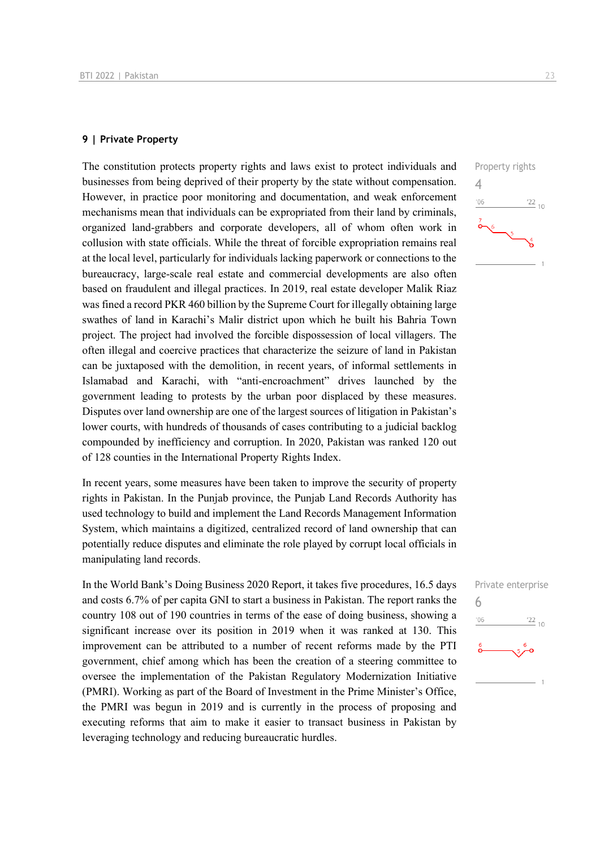### **9 | Private Property**

The constitution protects property rights and laws exist to protect individuals and businesses from being deprived of their property by the state without compensation. However, in practice poor monitoring and documentation, and weak enforcement mechanisms mean that individuals can be expropriated from their land by criminals, organized land-grabbers and corporate developers, all of whom often work in collusion with state officials. While the threat of forcible expropriation remains real at the local level, particularly for individuals lacking paperwork or connections to the bureaucracy, large-scale real estate and commercial developments are also often based on fraudulent and illegal practices. In 2019, real estate developer Malik Riaz was fined a record PKR 460 billion by the Supreme Court for illegally obtaining large swathes of land in Karachi's Malir district upon which he built his Bahria Town project. The project had involved the forcible dispossession of local villagers. The often illegal and coercive practices that characterize the seizure of land in Pakistan can be juxtaposed with the demolition, in recent years, of informal settlements in Islamabad and Karachi, with "anti-encroachment" drives launched by the government leading to protests by the urban poor displaced by these measures. Disputes over land ownership are one of the largest sources of litigation in Pakistan's lower courts, with hundreds of thousands of cases contributing to a judicial backlog compounded by inefficiency and corruption. In 2020, Pakistan was ranked 120 out of 128 counties in the International Property Rights Index.

In recent years, some measures have been taken to improve the security of property rights in Pakistan. In the Punjab province, the Punjab Land Records Authority has used technology to build and implement the Land Records Management Information System, which maintains a digitized, centralized record of land ownership that can potentially reduce disputes and eliminate the role played by corrupt local officials in manipulating land records.

In the World Bank's Doing Business 2020 Report, it takes five procedures, 16.5 days and costs 6.7% of per capita GNI to start a business in Pakistan. The report ranks the country 108 out of 190 countries in terms of the ease of doing business, showing a significant increase over its position in 2019 when it was ranked at 130. This improvement can be attributed to a number of recent reforms made by the PTI government, chief among which has been the creation of a steering committee to oversee the implementation of the Pakistan Regulatory Modernization Initiative (PMRI). Working as part of the Board of Investment in the Prime Minister's Office, the PMRI was begun in 2019 and is currently in the process of proposing and executing reforms that aim to make it easier to transact business in Pakistan by leveraging technology and reducing bureaucratic hurdles.



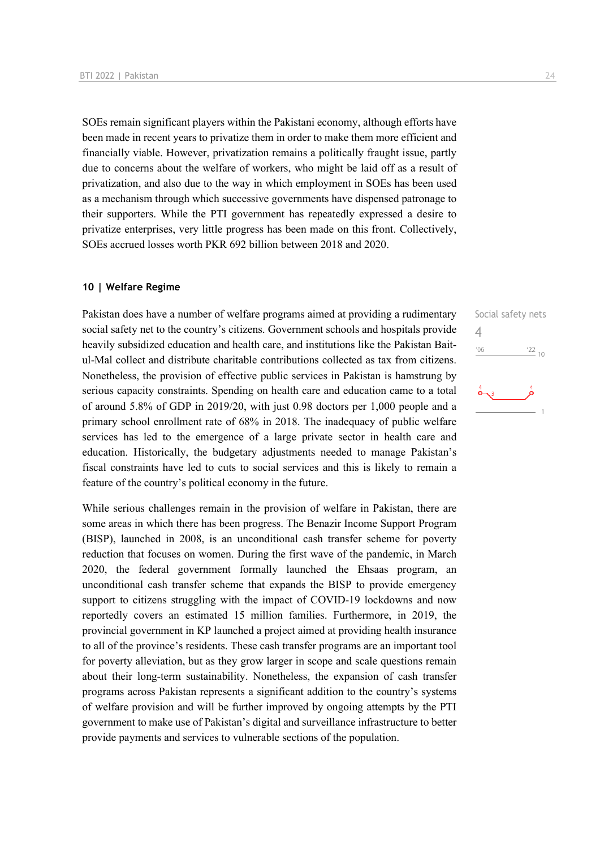SOEs remain significant players within the Pakistani economy, although efforts have been made in recent years to privatize them in order to make them more efficient and financially viable. However, privatization remains a politically fraught issue, partly due to concerns about the welfare of workers, who might be laid off as a result of privatization, and also due to the way in which employment in SOEs has been used as a mechanism through which successive governments have dispensed patronage to their supporters. While the PTI government has repeatedly expressed a desire to privatize enterprises, very little progress has been made on this front. Collectively, SOEs accrued losses worth PKR 692 billion between 2018 and 2020.

### **10 | Welfare Regime**

Pakistan does have a number of welfare programs aimed at providing a rudimentary social safety net to the country's citizens. Government schools and hospitals provide heavily subsidized education and health care, and institutions like the Pakistan Baitul-Mal collect and distribute charitable contributions collected as tax from citizens. Nonetheless, the provision of effective public services in Pakistan is hamstrung by serious capacity constraints. Spending on health care and education came to a total of around 5.8% of GDP in 2019/20, with just 0.98 doctors per 1,000 people and a primary school enrollment rate of 68% in 2018. The inadequacy of public welfare services has led to the emergence of a large private sector in health care and education. Historically, the budgetary adjustments needed to manage Pakistan's fiscal constraints have led to cuts to social services and this is likely to remain a feature of the country's political economy in the future.

While serious challenges remain in the provision of welfare in Pakistan, there are some areas in which there has been progress. The Benazir Income Support Program (BISP), launched in 2008, is an unconditional cash transfer scheme for poverty reduction that focuses on women. During the first wave of the pandemic, in March 2020, the federal government formally launched the Ehsaas program, an unconditional cash transfer scheme that expands the BISP to provide emergency support to citizens struggling with the impact of COVID-19 lockdowns and now reportedly covers an estimated 15 million families. Furthermore, in 2019, the provincial government in KP launched a project aimed at providing health insurance to all of the province's residents. These cash transfer programs are an important tool for poverty alleviation, but as they grow larger in scope and scale questions remain about their long-term sustainability. Nonetheless, the expansion of cash transfer programs across Pakistan represents a significant addition to the country's systems of welfare provision and will be further improved by ongoing attempts by the PTI government to make use of Pakistan's digital and surveillance infrastructure to better provide payments and services to vulnerable sections of the population.

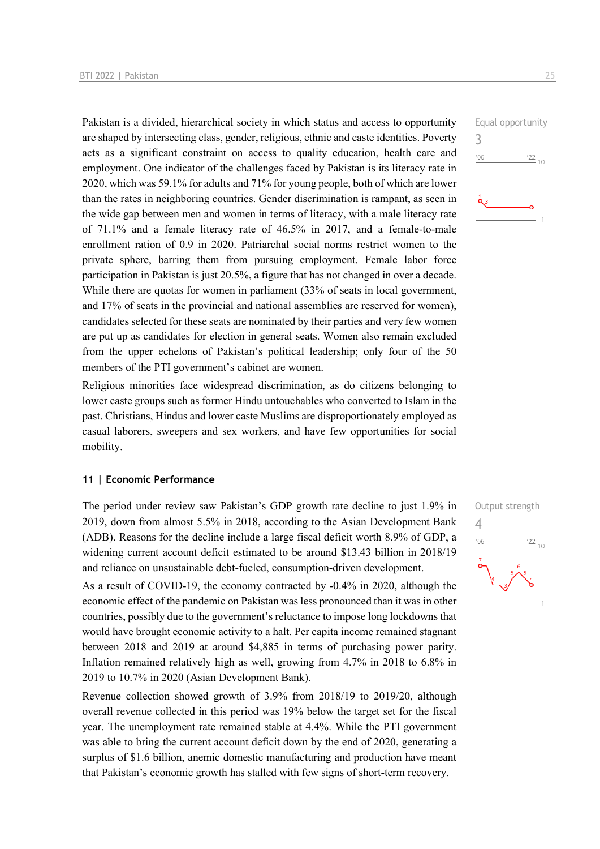Pakistan is a divided, hierarchical society in which status and access to opportunity are shaped by intersecting class, gender, religious, ethnic and caste identities. Poverty acts as a significant constraint on access to quality education, health care and employment. One indicator of the challenges faced by Pakistan is its literacy rate in 2020, which was 59.1% for adults and 71% for young people, both of which are lower than the rates in neighboring countries. Gender discrimination is rampant, as seen in the wide gap between men and women in terms of literacy, with a male literacy rate of 71.1% and a female literacy rate of 46.5% in 2017, and a female-to-male enrollment ration of 0.9 in 2020. Patriarchal social norms restrict women to the private sphere, barring them from pursuing employment. Female labor force participation in Pakistan is just 20.5%, a figure that has not changed in over a decade. While there are quotas for women in parliament (33% of seats in local government, and 17% of seats in the provincial and national assemblies are reserved for women), candidates selected for these seats are nominated by their parties and very few women are put up as candidates for election in general seats. Women also remain excluded from the upper echelons of Pakistan's political leadership; only four of the 50 members of the PTI government's cabinet are women.

Religious minorities face widespread discrimination, as do citizens belonging to lower caste groups such as former Hindu untouchables who converted to Islam in the past. Christians, Hindus and lower caste Muslims are disproportionately employed as casual laborers, sweepers and sex workers, and have few opportunities for social mobility.

### **11 | Economic Performance**

The period under review saw Pakistan's GDP growth rate decline to just 1.9% in 2019, down from almost 5.5% in 2018, according to the Asian Development Bank (ADB). Reasons for the decline include a large fiscal deficit worth 8.9% of GDP, a widening current account deficit estimated to be around \$13.43 billion in 2018/19 and reliance on unsustainable debt-fueled, consumption-driven development.

As a result of COVID-19, the economy contracted by -0.4% in 2020, although the economic effect of the pandemic on Pakistan was less pronounced than it was in other countries, possibly due to the government's reluctance to impose long lockdowns that would have brought economic activity to a halt. Per capita income remained stagnant between 2018 and 2019 at around \$4,885 in terms of purchasing power parity. Inflation remained relatively high as well, growing from 4.7% in 2018 to 6.8% in 2019 to 10.7% in 2020 (Asian Development Bank).

Revenue collection showed growth of 3.9% from 2018/19 to 2019/20, although overall revenue collected in this period was 19% below the target set for the fiscal year. The unemployment rate remained stable at 4.4%. While the PTI government was able to bring the current account deficit down by the end of 2020, generating a surplus of \$1.6 billion, anemic domestic manufacturing and production have meant that Pakistan's economic growth has stalled with few signs of short-term recovery.

Equal opportunity 3  $\frac{22}{10}$  $106$ 

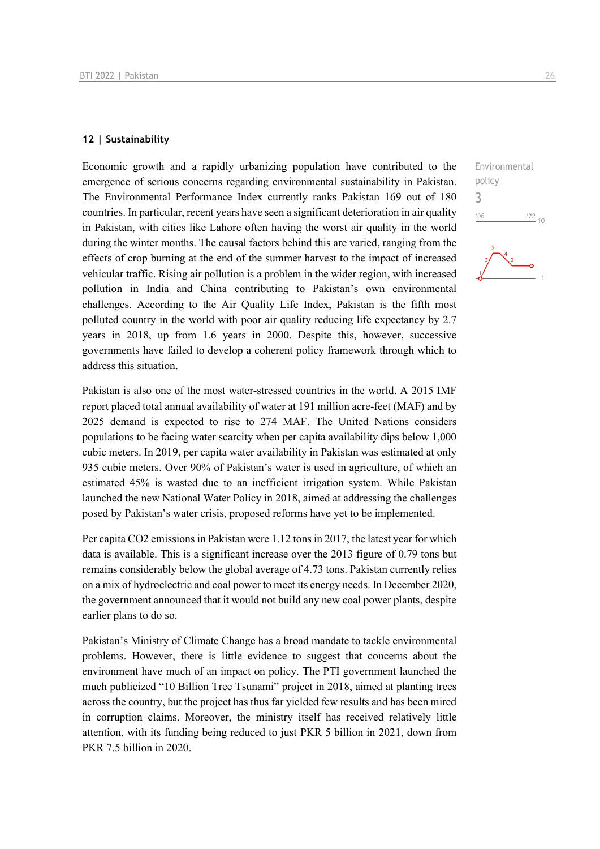### **12 | Sustainability**

Economic growth and a rapidly urbanizing population have contributed to the emergence of serious concerns regarding environmental sustainability in Pakistan. The Environmental Performance Index currently ranks Pakistan 169 out of 180 countries. In particular, recent years have seen a significant deterioration in air quality in Pakistan, with cities like Lahore often having the worst air quality in the world during the winter months. The causal factors behind this are varied, ranging from the effects of crop burning at the end of the summer harvest to the impact of increased vehicular traffic. Rising air pollution is a problem in the wider region, with increased pollution in India and China contributing to Pakistan's own environmental challenges. According to the Air Quality Life Index, Pakistan is the fifth most polluted country in the world with poor air quality reducing life expectancy by 2.7 years in 2018, up from 1.6 years in 2000. Despite this, however, successive governments have failed to develop a coherent policy framework through which to address this situation.

Pakistan is also one of the most water-stressed countries in the world. A 2015 IMF report placed total annual availability of water at 191 million acre-feet (MAF) and by 2025 demand is expected to rise to 274 MAF. The United Nations considers populations to be facing water scarcity when per capita availability dips below 1,000 cubic meters. In 2019, per capita water availability in Pakistan was estimated at only 935 cubic meters. Over 90% of Pakistan's water is used in agriculture, of which an estimated 45% is wasted due to an inefficient irrigation system. While Pakistan launched the new National Water Policy in 2018, aimed at addressing the challenges posed by Pakistan's water crisis, proposed reforms have yet to be implemented.

Per capita CO2 emissions in Pakistan were 1.12 tons in 2017, the latest year for which data is available. This is a significant increase over the 2013 figure of 0.79 tons but remains considerably below the global average of 4.73 tons. Pakistan currently relies on a mix of hydroelectric and coal power to meet its energy needs. In December 2020, the government announced that it would not build any new coal power plants, despite earlier plans to do so.

Pakistan's Ministry of Climate Change has a broad mandate to tackle environmental problems. However, there is little evidence to suggest that concerns about the environment have much of an impact on policy. The PTI government launched the much publicized "10 Billion Tree Tsunami" project in 2018, aimed at planting trees across the country, but the project has thus far yielded few results and has been mired in corruption claims. Moreover, the ministry itself has received relatively little attention, with its funding being reduced to just PKR 5 billion in 2021, down from PKR 7.5 billion in 2020.

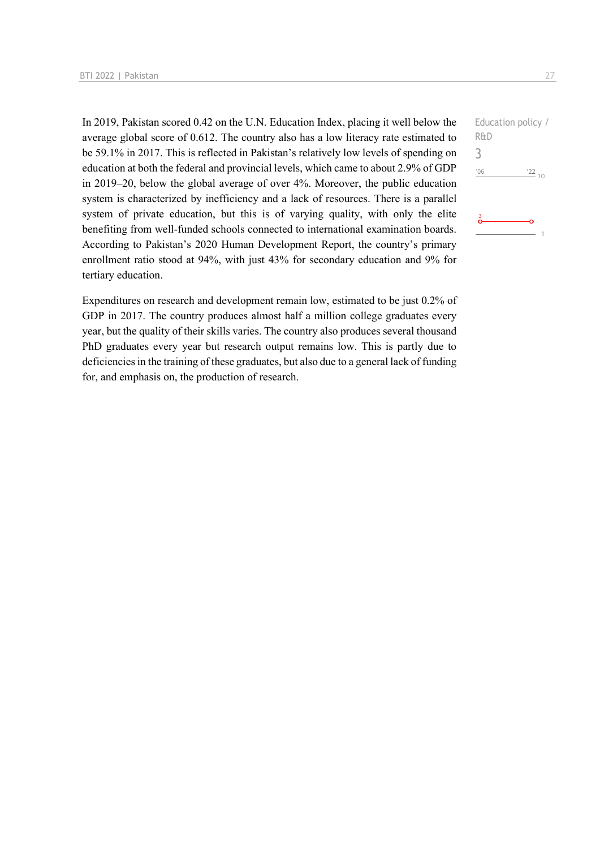In 2019, Pakistan scored 0.42 on the U.N. Education Index, placing it well below the average global score of 0.612. The country also has a low literacy rate estimated to be 59.1% in 2017. This is reflected in Pakistan's relatively low levels of spending on education at both the federal and provincial levels, which came to about 2.9% of GDP in 2019–20, below the global average of over 4%. Moreover, the public education system is characterized by inefficiency and a lack of resources. There is a parallel system of private education, but this is of varying quality, with only the elite benefiting from well-funded schools connected to international examination boards. According to Pakistan's 2020 Human Development Report, the country's primary enrollment ratio stood at 94%, with just 43% for secondary education and 9% for tertiary education.

Expenditures on research and development remain low, estimated to be just 0.2% of GDP in 2017. The country produces almost half a million college graduates every year, but the quality of their skills varies. The country also produces several thousand PhD graduates every year but research output remains low. This is partly due to deficiencies in the training of these graduates, but also due to a general lack of funding for, and emphasis on, the production of research.

Education policy / R&D 3 $^{\prime}06$  $\frac{22}{10}$  $\overline{1}$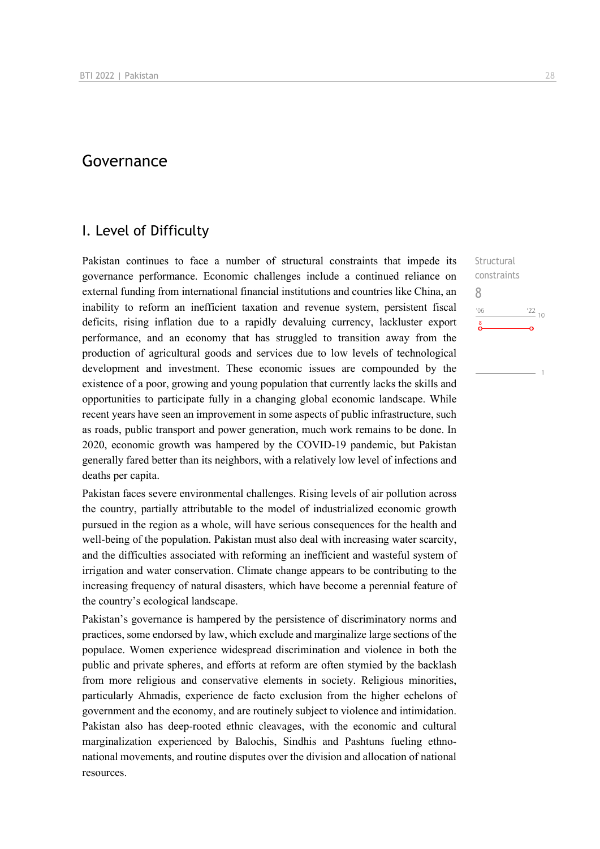## Governance

### I. Level of Difficulty

Pakistan continues to face a number of structural constraints that impede its governance performance. Economic challenges include a continued reliance on external funding from international financial institutions and countries like China, an inability to reform an inefficient taxation and revenue system, persistent fiscal deficits, rising inflation due to a rapidly devaluing currency, lackluster export performance, and an economy that has struggled to transition away from the production of agricultural goods and services due to low levels of technological development and investment. These economic issues are compounded by the existence of a poor, growing and young population that currently lacks the skills and opportunities to participate fully in a changing global economic landscape. While recent years have seen an improvement in some aspects of public infrastructure, such as roads, public transport and power generation, much work remains to be done. In 2020, economic growth was hampered by the COVID-19 pandemic, but Pakistan generally fared better than its neighbors, with a relatively low level of infections and deaths per capita.

Pakistan faces severe environmental challenges. Rising levels of air pollution across the country, partially attributable to the model of industrialized economic growth pursued in the region as a whole, will have serious consequences for the health and well-being of the population. Pakistan must also deal with increasing water scarcity, and the difficulties associated with reforming an inefficient and wasteful system of irrigation and water conservation. Climate change appears to be contributing to the increasing frequency of natural disasters, which have become a perennial feature of the country's ecological landscape.

Pakistan's governance is hampered by the persistence of discriminatory norms and practices, some endorsed by law, which exclude and marginalize large sections of the populace. Women experience widespread discrimination and violence in both the public and private spheres, and efforts at reform are often stymied by the backlash from more religious and conservative elements in society. Religious minorities, particularly Ahmadis, experience de facto exclusion from the higher echelons of government and the economy, and are routinely subject to violence and intimidation. Pakistan also has deep-rooted ethnic cleavages, with the economic and cultural marginalization experienced by Balochis, Sindhis and Pashtuns fueling ethnonational movements, and routine disputes over the division and allocation of national resources.

Structural constraints 8 $n<sub>6</sub>$  $^{22}$  10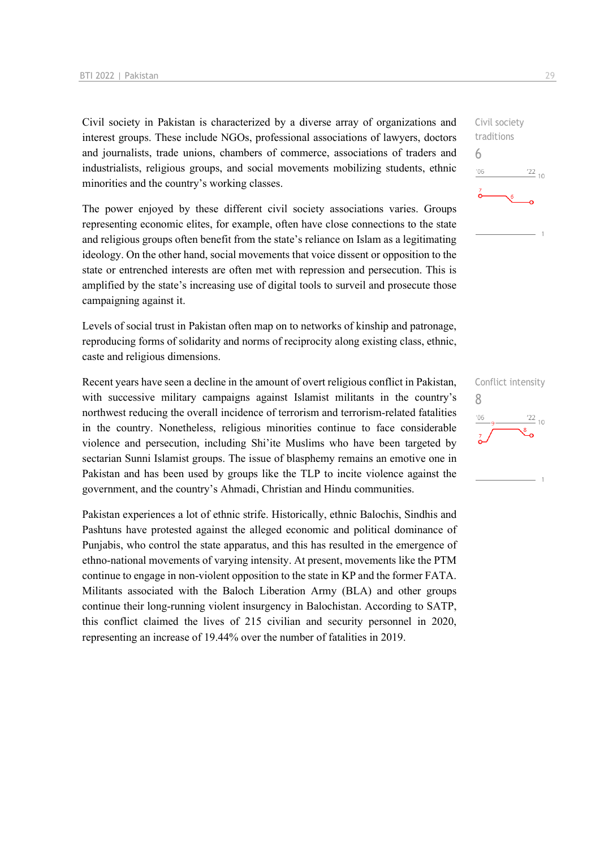Civil society in Pakistan is characterized by a diverse array of organizations and interest groups. These include NGOs, professional associations of lawyers, doctors and journalists, trade unions, chambers of commerce, associations of traders and industrialists, religious groups, and social movements mobilizing students, ethnic minorities and the country's working classes.

The power enjoyed by these different civil society associations varies. Groups representing economic elites, for example, often have close connections to the state and religious groups often benefit from the state's reliance on Islam as a legitimating ideology. On the other hand, social movements that voice dissent or opposition to the state or entrenched interests are often met with repression and persecution. This is amplified by the state's increasing use of digital tools to surveil and prosecute those campaigning against it.

Levels of social trust in Pakistan often map on to networks of kinship and patronage, reproducing forms of solidarity and norms of reciprocity along existing class, ethnic, caste and religious dimensions.

Recent years have seen a decline in the amount of overt religious conflict in Pakistan, with successive military campaigns against Islamist militants in the country's northwest reducing the overall incidence of terrorism and terrorism-related fatalities in the country. Nonetheless, religious minorities continue to face considerable violence and persecution, including Shi'ite Muslims who have been targeted by sectarian Sunni Islamist groups. The issue of blasphemy remains an emotive one in Pakistan and has been used by groups like the TLP to incite violence against the government, and the country's Ahmadi, Christian and Hindu communities.

Pakistan experiences a lot of ethnic strife. Historically, ethnic Balochis, Sindhis and Pashtuns have protested against the alleged economic and political dominance of Punjabis, who control the state apparatus, and this has resulted in the emergence of ethno-national movements of varying intensity. At present, movements like the PTM continue to engage in non-violent opposition to the state in KP and the former FATA. Militants associated with the Baloch Liberation Army (BLA) and other groups continue their long-running violent insurgency in Balochistan. According to SATP, this conflict claimed the lives of 215 civilian and security personnel in 2020, representing an increase of 19.44% over the number of fatalities in 2019.



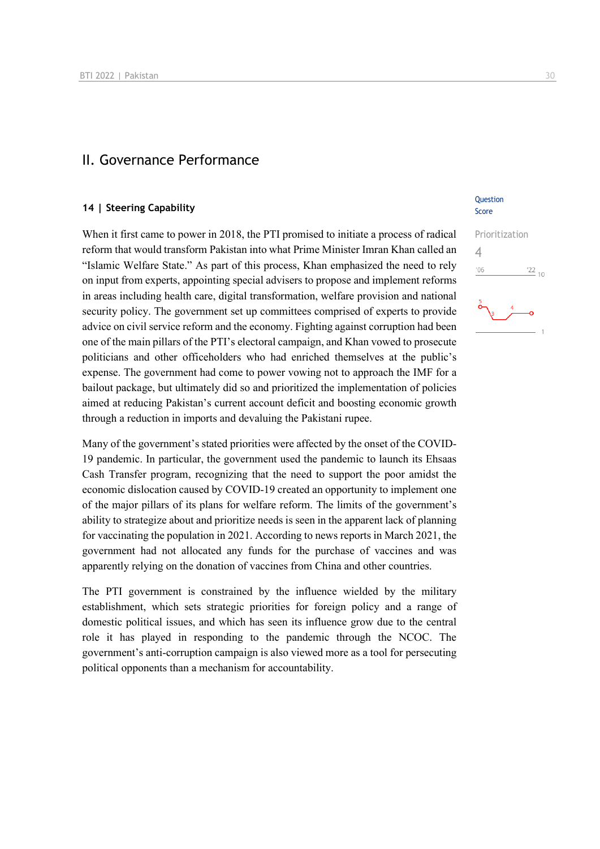### II. Governance Performance

### **14 | Steering Capability**

When it first came to power in 2018, the PTI promised to initiate a process of radical reform that would transform Pakistan into what Prime Minister Imran Khan called an "Islamic Welfare State." As part of this process, Khan emphasized the need to rely on input from experts, appointing special advisers to propose and implement reforms in areas including health care, digital transformation, welfare provision and national security policy. The government set up committees comprised of experts to provide advice on civil service reform and the economy. Fighting against corruption had been one of the main pillars of the PTI's electoral campaign, and Khan vowed to prosecute politicians and other officeholders who had enriched themselves at the public's expense. The government had come to power vowing not to approach the IMF for a bailout package, but ultimately did so and prioritized the implementation of policies aimed at reducing Pakistan's current account deficit and boosting economic growth through a reduction in imports and devaluing the Pakistani rupee.

Many of the government's stated priorities were affected by the onset of the COVID-19 pandemic. In particular, the government used the pandemic to launch its Ehsaas Cash Transfer program, recognizing that the need to support the poor amidst the economic dislocation caused by COVID-19 created an opportunity to implement one of the major pillars of its plans for welfare reform. The limits of the government's ability to strategize about and prioritize needs is seen in the apparent lack of planning for vaccinating the population in 2021. According to news reports in March 2021, the government had not allocated any funds for the purchase of vaccines and was apparently relying on the donation of vaccines from China and other countries.

The PTI government is constrained by the influence wielded by the military establishment, which sets strategic priorities for foreign policy and a range of domestic political issues, and which has seen its influence grow due to the central role it has played in responding to the pandemic through the NCOC. The government's anti-corruption campaign is also viewed more as a tool for persecuting political opponents than a mechanism for accountability.

### **Ouestion** Score

## Prioritization 4 $\frac{22}{10}$  $106$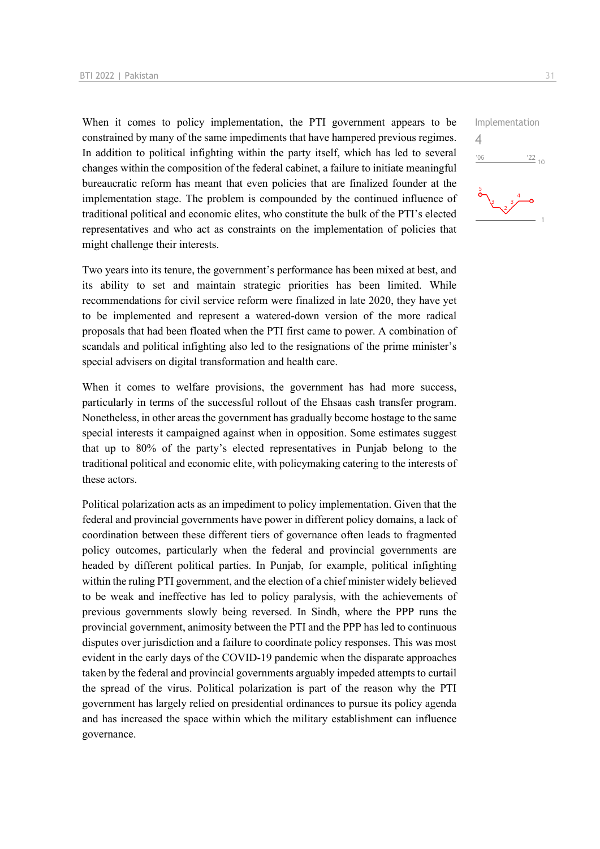When it comes to policy implementation, the PTI government appears to be constrained by many of the same impediments that have hampered previous regimes. In addition to political infighting within the party itself, which has led to several changes within the composition of the federal cabinet, a failure to initiate meaningful bureaucratic reform has meant that even policies that are finalized founder at the implementation stage. The problem is compounded by the continued influence of traditional political and economic elites, who constitute the bulk of the PTI's elected representatives and who act as constraints on the implementation of policies that might challenge their interests.

Two years into its tenure, the government's performance has been mixed at best, and its ability to set and maintain strategic priorities has been limited. While recommendations for civil service reform were finalized in late 2020, they have yet to be implemented and represent a watered-down version of the more radical proposals that had been floated when the PTI first came to power. A combination of scandals and political infighting also led to the resignations of the prime minister's special advisers on digital transformation and health care.

When it comes to welfare provisions, the government has had more success, particularly in terms of the successful rollout of the Ehsaas cash transfer program. Nonetheless, in other areas the government has gradually become hostage to the same special interests it campaigned against when in opposition. Some estimates suggest that up to 80% of the party's elected representatives in Punjab belong to the traditional political and economic elite, with policymaking catering to the interests of these actors.

Political polarization acts as an impediment to policy implementation. Given that the federal and provincial governments have power in different policy domains, a lack of coordination between these different tiers of governance often leads to fragmented policy outcomes, particularly when the federal and provincial governments are headed by different political parties. In Punjab, for example, political infighting within the ruling PTI government, and the election of a chief minister widely believed to be weak and ineffective has led to policy paralysis, with the achievements of previous governments slowly being reversed. In Sindh, where the PPP runs the provincial government, animosity between the PTI and the PPP has led to continuous disputes over jurisdiction and a failure to coordinate policy responses. This was most evident in the early days of the COVID-19 pandemic when the disparate approaches taken by the federal and provincial governments arguably impeded attempts to curtail the spread of the virus. Political polarization is part of the reason why the PTI government has largely relied on presidential ordinances to pursue its policy agenda and has increased the space within which the military establishment can influence governance.

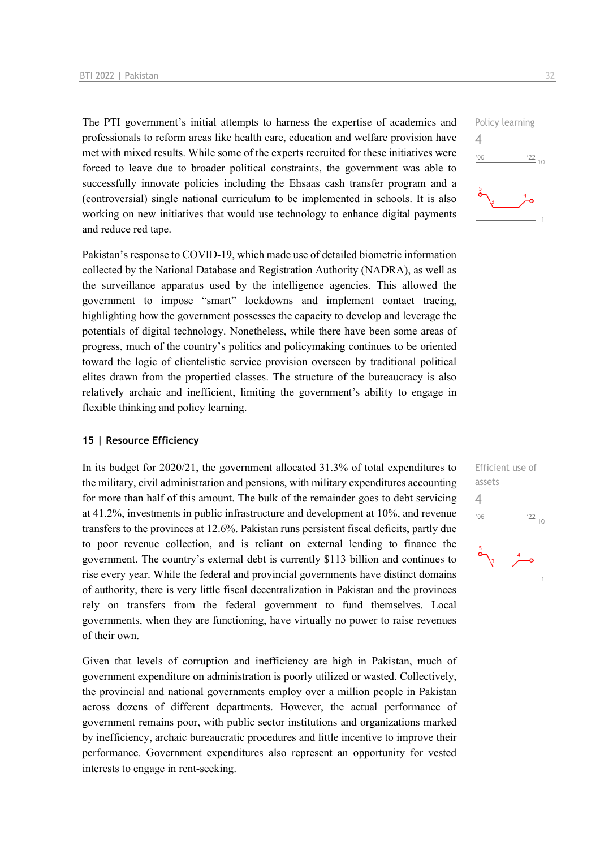The PTI government's initial attempts to harness the expertise of academics and professionals to reform areas like health care, education and welfare provision have met with mixed results. While some of the experts recruited for these initiatives were forced to leave due to broader political constraints, the government was able to successfully innovate policies including the Ehsaas cash transfer program and a (controversial) single national curriculum to be implemented in schools. It is also working on new initiatives that would use technology to enhance digital payments and reduce red tape.

Pakistan's response to COVID-19, which made use of detailed biometric information collected by the National Database and Registration Authority (NADRA), as well as the surveillance apparatus used by the intelligence agencies. This allowed the government to impose "smart" lockdowns and implement contact tracing, highlighting how the government possesses the capacity to develop and leverage the potentials of digital technology. Nonetheless, while there have been some areas of progress, much of the country's politics and policymaking continues to be oriented toward the logic of clientelistic service provision overseen by traditional political elites drawn from the propertied classes. The structure of the bureaucracy is also relatively archaic and inefficient, limiting the government's ability to engage in flexible thinking and policy learning.

### **15 | Resource Efficiency**

In its budget for 2020/21, the government allocated 31.3% of total expenditures to the military, civil administration and pensions, with military expenditures accounting for more than half of this amount. The bulk of the remainder goes to debt servicing at 41.2%, investments in public infrastructure and development at 10%, and revenue transfers to the provinces at 12.6%. Pakistan runs persistent fiscal deficits, partly due to poor revenue collection, and is reliant on external lending to finance the government. The country's external debt is currently \$113 billion and continues to rise every year. While the federal and provincial governments have distinct domains of authority, there is very little fiscal decentralization in Pakistan and the provinces rely on transfers from the federal government to fund themselves. Local governments, when they are functioning, have virtually no power to raise revenues of their own.

Given that levels of corruption and inefficiency are high in Pakistan, much of government expenditure on administration is poorly utilized or wasted. Collectively, the provincial and national governments employ over a million people in Pakistan across dozens of different departments. However, the actual performance of government remains poor, with public sector institutions and organizations marked by inefficiency, archaic bureaucratic procedures and little incentive to improve their performance. Government expenditures also represent an opportunity for vested interests to engage in rent-seeking.



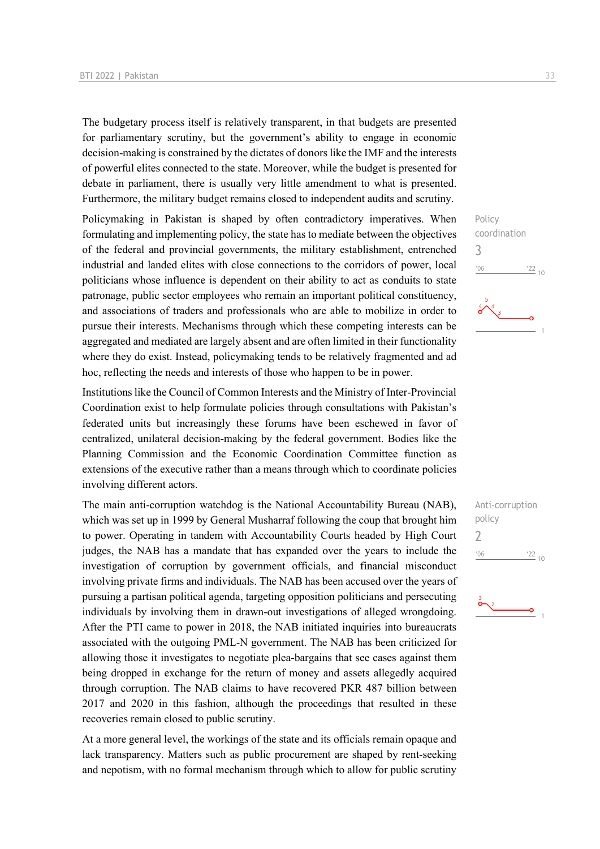The budgetary process itself is relatively transparent, in that budgets are presented for parliamentary scrutiny, but the government's ability to engage in economic decision-making is constrained by the dictates of donors like the IMF and the interests of powerful elites connected to the state. Moreover, while the budget is presented for debate in parliament, there is usually very little amendment to what is presented. Furthermore, the military budget remains closed to independent audits and scrutiny.

Policymaking in Pakistan is shaped by often contradictory imperatives. When formulating and implementing policy, the state has to mediate between the objectives of the federal and provincial governments, the military establishment, entrenched industrial and landed elites with close connections to the corridors of power, local politicians whose influence is dependent on their ability to act as conduits to state patronage, public sector employees who remain an important political constituency, and associations of traders and professionals who are able to mobilize in order to pursue their interests. Mechanisms through which these competing interests can be aggregated and mediated are largely absent and are often limited in their functionality where they do exist. Instead, policymaking tends to be relatively fragmented and ad hoc, reflecting the needs and interests of those who happen to be in power.

Institutions like the Council of Common Interests and the Ministry of Inter-Provincial Coordination exist to help formulate policies through consultations with Pakistan's federated units but increasingly these forums have been eschewed in favor of centralized, unilateral decision-making by the federal government. Bodies like the Planning Commission and the Economic Coordination Committee function as extensions of the executive rather than a means through which to coordinate policies involving different actors.

The main anti-corruption watchdog is the National Accountability Bureau (NAB), which was set up in 1999 by General Musharraf following the coup that brought him to power. Operating in tandem with Accountability Courts headed by High Court judges, the NAB has a mandate that has expanded over the years to include the investigation of corruption by government officials, and financial misconduct involving private firms and individuals. The NAB has been accused over the years of pursuing a partisan political agenda, targeting opposition politicians and persecuting individuals by involving them in drawn-out investigations of alleged wrongdoing. After the PTI came to power in 2018, the NAB initiated inquiries into bureaucrats associated with the outgoing PML-N government. The NAB has been criticized for allowing those it investigates to negotiate plea-bargains that see cases against them being dropped in exchange for the return of money and assets allegedly acquired through corruption. The NAB claims to have recovered PKR 487 billion between 2017 and 2020 in this fashion, although the proceedings that resulted in these recoveries remain closed to public scrutiny.

At a more general level, the workings of the state and its officials remain opaque and lack transparency. Matters such as public procurement are shaped by rent-seeking and nepotism, with no formal mechanism through which to allow for public scrutiny Policy coordination 3  $\frac{22}{10}$  $^{\prime}06$ 



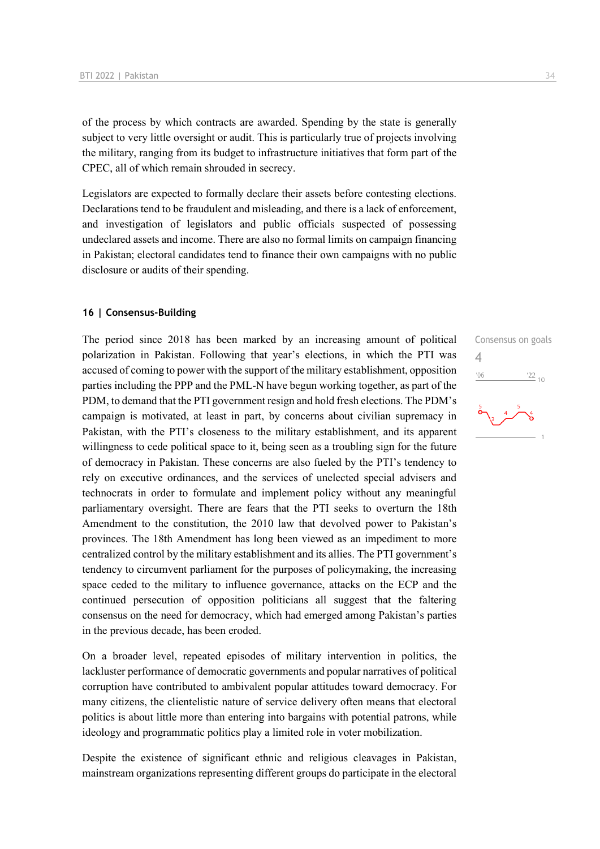of the process by which contracts are awarded. Spending by the state is generally subject to very little oversight or audit. This is particularly true of projects involving the military, ranging from its budget to infrastructure initiatives that form part of the CPEC, all of which remain shrouded in secrecy.

Legislators are expected to formally declare their assets before contesting elections. Declarations tend to be fraudulent and misleading, and there is a lack of enforcement, and investigation of legislators and public officials suspected of possessing undeclared assets and income. There are also no formal limits on campaign financing in Pakistan; electoral candidates tend to finance their own campaigns with no public disclosure or audits of their spending.

### **16 | Consensus-Building**

The period since 2018 has been marked by an increasing amount of political polarization in Pakistan. Following that year's elections, in which the PTI was accused of coming to power with the support of the military establishment, opposition parties including the PPP and the PML-N have begun working together, as part of the PDM, to demand that the PTI government resign and hold fresh elections. The PDM's campaign is motivated, at least in part, by concerns about civilian supremacy in Pakistan, with the PTI's closeness to the military establishment, and its apparent willingness to cede political space to it, being seen as a troubling sign for the future of democracy in Pakistan. These concerns are also fueled by the PTI's tendency to rely on executive ordinances, and the services of unelected special advisers and technocrats in order to formulate and implement policy without any meaningful parliamentary oversight. There are fears that the PTI seeks to overturn the 18th Amendment to the constitution, the 2010 law that devolved power to Pakistan's provinces. The 18th Amendment has long been viewed as an impediment to more centralized control by the military establishment and its allies. The PTI government's tendency to circumvent parliament for the purposes of policymaking, the increasing space ceded to the military to influence governance, attacks on the ECP and the continued persecution of opposition politicians all suggest that the faltering consensus on the need for democracy, which had emerged among Pakistan's parties in the previous decade, has been eroded.

On a broader level, repeated episodes of military intervention in politics, the lackluster performance of democratic governments and popular narratives of political corruption have contributed to ambivalent popular attitudes toward democracy. For many citizens, the clientelistic nature of service delivery often means that electoral politics is about little more than entering into bargains with potential patrons, while ideology and programmatic politics play a limited role in voter mobilization.

Despite the existence of significant ethnic and religious cleavages in Pakistan, mainstream organizations representing different groups do participate in the electoral

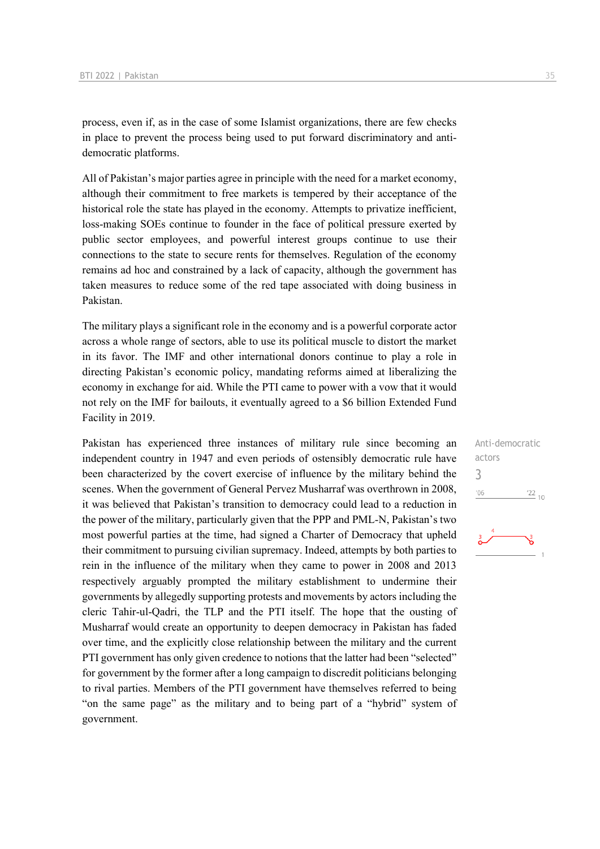process, even if, as in the case of some Islamist organizations, there are few checks in place to prevent the process being used to put forward discriminatory and antidemocratic platforms.

All of Pakistan's major parties agree in principle with the need for a market economy, although their commitment to free markets is tempered by their acceptance of the historical role the state has played in the economy. Attempts to privatize inefficient, loss-making SOEs continue to founder in the face of political pressure exerted by public sector employees, and powerful interest groups continue to use their connections to the state to secure rents for themselves. Regulation of the economy remains ad hoc and constrained by a lack of capacity, although the government has taken measures to reduce some of the red tape associated with doing business in Pakistan.

The military plays a significant role in the economy and is a powerful corporate actor across a whole range of sectors, able to use its political muscle to distort the market in its favor. The IMF and other international donors continue to play a role in directing Pakistan's economic policy, mandating reforms aimed at liberalizing the economy in exchange for aid. While the PTI came to power with a vow that it would not rely on the IMF for bailouts, it eventually agreed to a \$6 billion Extended Fund Facility in 2019.

Pakistan has experienced three instances of military rule since becoming an independent country in 1947 and even periods of ostensibly democratic rule have been characterized by the covert exercise of influence by the military behind the scenes. When the government of General Pervez Musharraf was overthrown in 2008, it was believed that Pakistan's transition to democracy could lead to a reduction in the power of the military, particularly given that the PPP and PML-N, Pakistan's two most powerful parties at the time, had signed a Charter of Democracy that upheld their commitment to pursuing civilian supremacy. Indeed, attempts by both parties to rein in the influence of the military when they came to power in 2008 and 2013 respectively arguably prompted the military establishment to undermine their governments by allegedly supporting protests and movements by actors including the cleric Tahir-ul-Qadri, the TLP and the PTI itself. The hope that the ousting of Musharraf would create an opportunity to deepen democracy in Pakistan has faded over time, and the explicitly close relationship between the military and the current PTI government has only given credence to notions that the latter had been "selected" for government by the former after a long campaign to discredit politicians belonging to rival parties. Members of the PTI government have themselves referred to being "on the same page" as the military and to being part of a "hybrid" system of government.

Anti-democratic actors 3 $-06$  $\frac{22}{10}$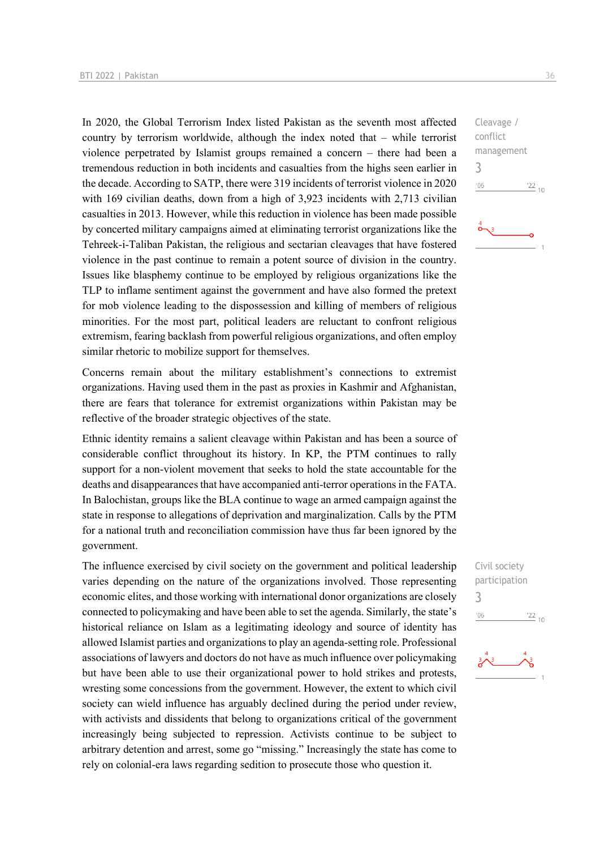In 2020, the Global Terrorism Index listed Pakistan as the seventh most affected country by terrorism worldwide, although the index noted that – while terrorist violence perpetrated by Islamist groups remained a concern – there had been a tremendous reduction in both incidents and casualties from the highs seen earlier in the decade. According to SATP, there were 319 incidents of terrorist violence in 2020 with 169 civilian deaths, down from a high of 3,923 incidents with 2,713 civilian casualties in 2013. However, while this reduction in violence has been made possible by concerted military campaigns aimed at eliminating terrorist organizations like the Tehreek-i-Taliban Pakistan, the religious and sectarian cleavages that have fostered violence in the past continue to remain a potent source of division in the country. Issues like blasphemy continue to be employed by religious organizations like the TLP to inflame sentiment against the government and have also formed the pretext for mob violence leading to the dispossession and killing of members of religious minorities. For the most part, political leaders are reluctant to confront religious extremism, fearing backlash from powerful religious organizations, and often employ similar rhetoric to mobilize support for themselves.

Concerns remain about the military establishment's connections to extremist organizations. Having used them in the past as proxies in Kashmir and Afghanistan, there are fears that tolerance for extremist organizations within Pakistan may be reflective of the broader strategic objectives of the state.

Ethnic identity remains a salient cleavage within Pakistan and has been a source of considerable conflict throughout its history. In KP, the PTM continues to rally support for a non-violent movement that seeks to hold the state accountable for the deaths and disappearances that have accompanied anti-terror operations in the FATA. In Balochistan, groups like the BLA continue to wage an armed campaign against the state in response to allegations of deprivation and marginalization. Calls by the PTM for a national truth and reconciliation commission have thus far been ignored by the government.

The influence exercised by civil society on the government and political leadership varies depending on the nature of the organizations involved. Those representing economic elites, and those working with international donor organizations are closely connected to policymaking and have been able to set the agenda. Similarly, the state's historical reliance on Islam as a legitimating ideology and source of identity has allowed Islamist parties and organizations to play an agenda-setting role. Professional associations of lawyers and doctors do not have as much influence over policymaking but have been able to use their organizational power to hold strikes and protests, wresting some concessions from the government. However, the extent to which civil society can wield influence has arguably declined during the period under review, with activists and dissidents that belong to organizations critical of the government increasingly being subjected to repression. Activists continue to be subject to arbitrary detention and arrest, some go "missing." Increasingly the state has come to rely on colonial-era laws regarding sedition to prosecute those who question it.

Cleavage / conflict management 3  $-06$  $\frac{22}{10}$ 

Civil society participation 3 $\frac{22}{10}$  $-06$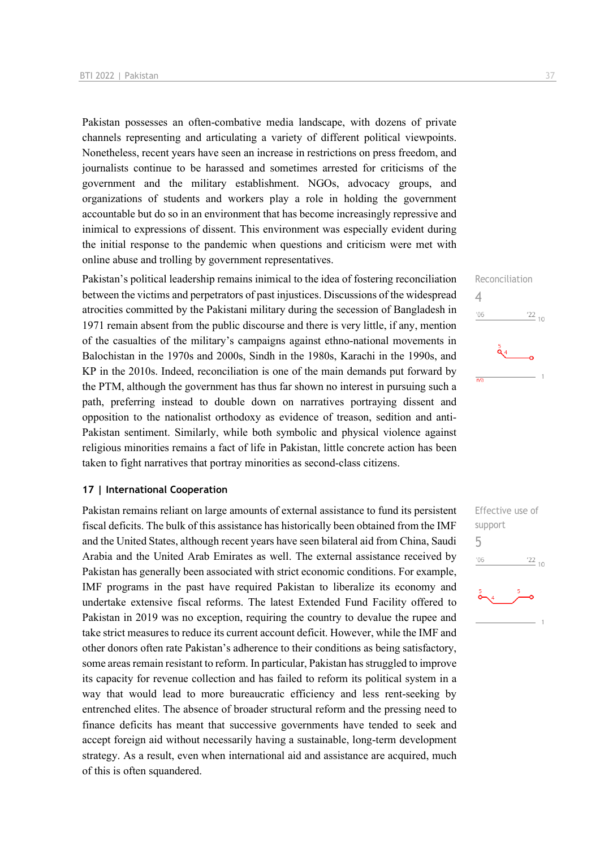Pakistan possesses an often-combative media landscape, with dozens of private channels representing and articulating a variety of different political viewpoints. Nonetheless, recent years have seen an increase in restrictions on press freedom, and journalists continue to be harassed and sometimes arrested for criticisms of the government and the military establishment. NGOs, advocacy groups, and organizations of students and workers play a role in holding the government accountable but do so in an environment that has become increasingly repressive and inimical to expressions of dissent. This environment was especially evident during the initial response to the pandemic when questions and criticism were met with online abuse and trolling by government representatives.

Pakistan's political leadership remains inimical to the idea of fostering reconciliation between the victims and perpetrators of past injustices. Discussions of the widespread atrocities committed by the Pakistani military during the secession of Bangladesh in 1971 remain absent from the public discourse and there is very little, if any, mention of the casualties of the military's campaigns against ethno-national movements in Balochistan in the 1970s and 2000s, Sindh in the 1980s, Karachi in the 1990s, and KP in the 2010s. Indeed, reconciliation is one of the main demands put forward by the PTM, although the government has thus far shown no interest in pursuing such a path, preferring instead to double down on narratives portraying dissent and opposition to the nationalist orthodoxy as evidence of treason, sedition and anti-Pakistan sentiment. Similarly, while both symbolic and physical violence against religious minorities remains a fact of life in Pakistan, little concrete action has been taken to fight narratives that portray minorities as second-class citizens.

### **17 | International Cooperation**

Pakistan remains reliant on large amounts of external assistance to fund its persistent fiscal deficits. The bulk of this assistance has historically been obtained from the IMF and the United States, although recent years have seen bilateral aid from China, Saudi Arabia and the United Arab Emirates as well. The external assistance received by Pakistan has generally been associated with strict economic conditions. For example, IMF programs in the past have required Pakistan to liberalize its economy and undertake extensive fiscal reforms. The latest Extended Fund Facility offered to Pakistan in 2019 was no exception, requiring the country to devalue the rupee and take strict measures to reduce its current account deficit. However, while the IMF and other donors often rate Pakistan's adherence to their conditions as being satisfactory, some areas remain resistant to reform. In particular, Pakistan has struggled to improve its capacity for revenue collection and has failed to reform its political system in a way that would lead to more bureaucratic efficiency and less rent-seeking by entrenched elites. The absence of broader structural reform and the pressing need to finance deficits has meant that successive governments have tended to seek and accept foreign aid without necessarily having a sustainable, long-term development strategy. As a result, even when international aid and assistance are acquired, much of this is often squandered.



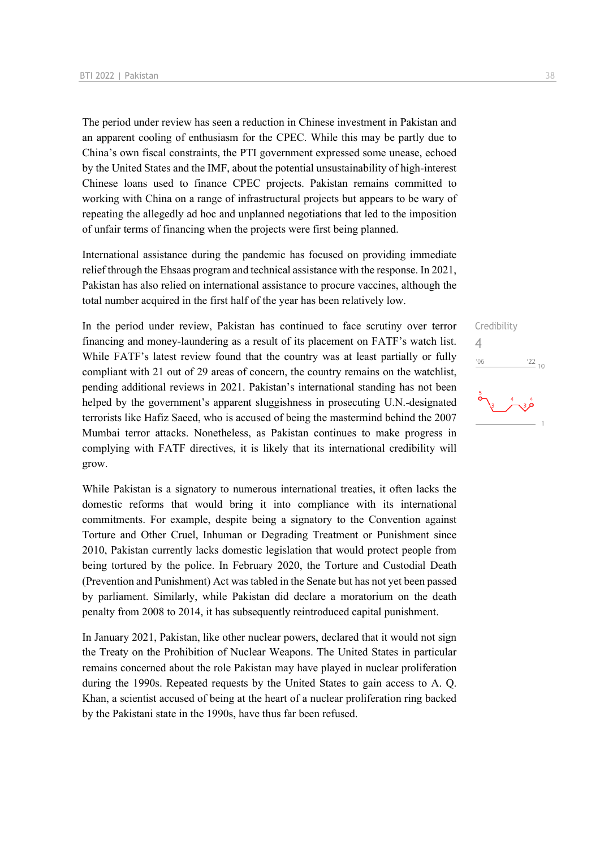The period under review has seen a reduction in Chinese investment in Pakistan and an apparent cooling of enthusiasm for the CPEC. While this may be partly due to China's own fiscal constraints, the PTI government expressed some unease, echoed by the United States and the IMF, about the potential unsustainability of high-interest Chinese loans used to finance CPEC projects. Pakistan remains committed to working with China on a range of infrastructural projects but appears to be wary of repeating the allegedly ad hoc and unplanned negotiations that led to the imposition of unfair terms of financing when the projects were first being planned.

International assistance during the pandemic has focused on providing immediate relief through the Ehsaas program and technical assistance with the response. In 2021, Pakistan has also relied on international assistance to procure vaccines, although the total number acquired in the first half of the year has been relatively low.

In the period under review, Pakistan has continued to face scrutiny over terror financing and money-laundering as a result of its placement on FATF's watch list. While FATF's latest review found that the country was at least partially or fully compliant with 21 out of 29 areas of concern, the country remains on the watchlist, pending additional reviews in 2021. Pakistan's international standing has not been helped by the government's apparent sluggishness in prosecuting U.N.-designated terrorists like Hafiz Saeed, who is accused of being the mastermind behind the 2007 Mumbai terror attacks. Nonetheless, as Pakistan continues to make progress in complying with FATF directives, it is likely that its international credibility will grow.

While Pakistan is a signatory to numerous international treaties, it often lacks the domestic reforms that would bring it into compliance with its international commitments. For example, despite being a signatory to the Convention against Torture and Other Cruel, Inhuman or Degrading Treatment or Punishment since 2010, Pakistan currently lacks domestic legislation that would protect people from being tortured by the police. In February 2020, the Torture and Custodial Death (Prevention and Punishment) Act was tabled in the Senate but has not yet been passed by parliament. Similarly, while Pakistan did declare a moratorium on the death penalty from 2008 to 2014, it has subsequently reintroduced capital punishment.

In January 2021, Pakistan, like other nuclear powers, declared that it would not sign the Treaty on the Prohibition of Nuclear Weapons. The United States in particular remains concerned about the role Pakistan may have played in nuclear proliferation during the 1990s. Repeated requests by the United States to gain access to A. Q. Khan, a scientist accused of being at the heart of a nuclear proliferation ring backed by the Pakistani state in the 1990s, have thus far been refused.

Credibility  $\Delta$  $06'$  $\frac{22}{10}$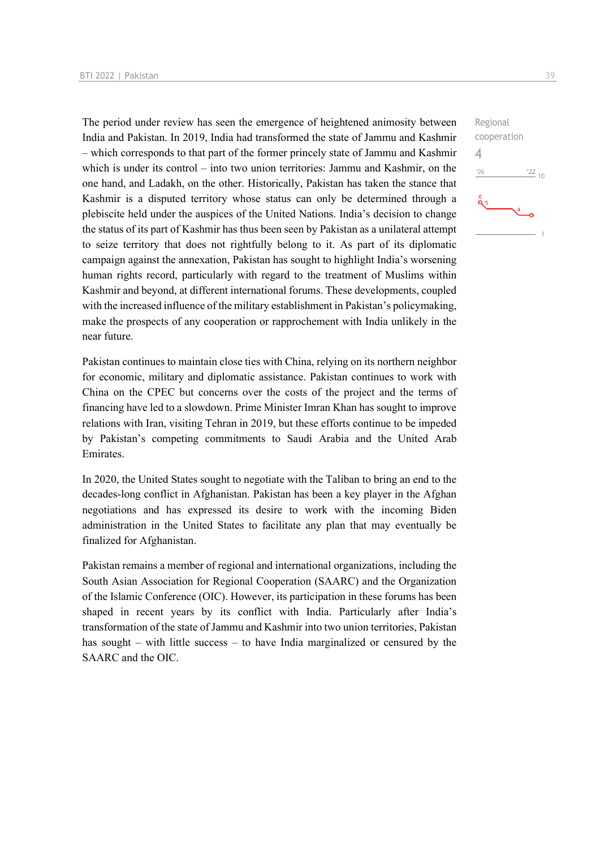The period under review has seen the emergence of heightened animosity between India and Pakistan. In 2019, India had transformed the state of Jammu and Kashmir – which corresponds to that part of the former princely state of Jammu and Kashmir which is under its control – into two union territories: Jammu and Kashmir, on the one hand, and Ladakh, on the other. Historically, Pakistan has taken the stance that Kashmir is a disputed territory whose status can only be determined through a plebiscite held under the auspices of the United Nations. India's decision to change the status of its part of Kashmir has thus been seen by Pakistan as a unilateral attempt to seize territory that does not rightfully belong to it. As part of its diplomatic campaign against the annexation, Pakistan has sought to highlight India's worsening human rights record, particularly with regard to the treatment of Muslims within Kashmir and beyond, at different international forums. These developments, coupled with the increased influence of the military establishment in Pakistan's policymaking, make the prospects of any cooperation or rapprochement with India unlikely in the near future.

Pakistan continues to maintain close ties with China, relying on its northern neighbor for economic, military and diplomatic assistance. Pakistan continues to work with China on the CPEC but concerns over the costs of the project and the terms of financing have led to a slowdown. Prime Minister Imran Khan has sought to improve relations with Iran, visiting Tehran in 2019, but these efforts continue to be impeded by Pakistan's competing commitments to Saudi Arabia and the United Arab Emirates.

In 2020, the United States sought to negotiate with the Taliban to bring an end to the decades-long conflict in Afghanistan. Pakistan has been a key player in the Afghan negotiations and has expressed its desire to work with the incoming Biden administration in the United States to facilitate any plan that may eventually be finalized for Afghanistan.

Pakistan remains a member of regional and international organizations, including the South Asian Association for Regional Cooperation (SAARC) and the Organization of the Islamic Conference (OIC). However, its participation in these forums has been shaped in recent years by its conflict with India. Particularly after India's transformation of the state of Jammu and Kashmir into two union territories, Pakistan has sought – with little success – to have India marginalized or censured by the SAARC and the OIC.

Regional cooperation 4 $-06$  $^{22}$  10 ە<br>م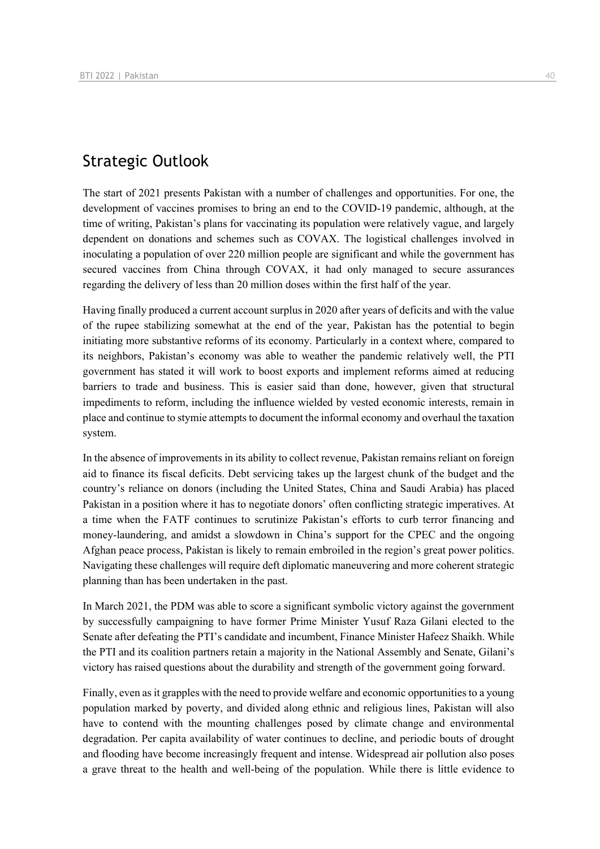## Strategic Outlook

The start of 2021 presents Pakistan with a number of challenges and opportunities. For one, the development of vaccines promises to bring an end to the COVID-19 pandemic, although, at the time of writing, Pakistan's plans for vaccinating its population were relatively vague, and largely dependent on donations and schemes such as COVAX. The logistical challenges involved in inoculating a population of over 220 million people are significant and while the government has secured vaccines from China through COVAX, it had only managed to secure assurances regarding the delivery of less than 20 million doses within the first half of the year.

Having finally produced a current account surplus in 2020 after years of deficits and with the value of the rupee stabilizing somewhat at the end of the year, Pakistan has the potential to begin initiating more substantive reforms of its economy. Particularly in a context where, compared to its neighbors, Pakistan's economy was able to weather the pandemic relatively well, the PTI government has stated it will work to boost exports and implement reforms aimed at reducing barriers to trade and business. This is easier said than done, however, given that structural impediments to reform, including the influence wielded by vested economic interests, remain in place and continue to stymie attempts to document the informal economy and overhaul the taxation system.

In the absence of improvements in its ability to collect revenue, Pakistan remains reliant on foreign aid to finance its fiscal deficits. Debt servicing takes up the largest chunk of the budget and the country's reliance on donors (including the United States, China and Saudi Arabia) has placed Pakistan in a position where it has to negotiate donors' often conflicting strategic imperatives. At a time when the FATF continues to scrutinize Pakistan's efforts to curb terror financing and money-laundering, and amidst a slowdown in China's support for the CPEC and the ongoing Afghan peace process, Pakistan is likely to remain embroiled in the region's great power politics. Navigating these challenges will require deft diplomatic maneuvering and more coherent strategic planning than has been undertaken in the past.

In March 2021, the PDM was able to score a significant symbolic victory against the government by successfully campaigning to have former Prime Minister Yusuf Raza Gilani elected to the Senate after defeating the PTI's candidate and incumbent, Finance Minister Hafeez Shaikh. While the PTI and its coalition partners retain a majority in the National Assembly and Senate, Gilani's victory has raised questions about the durability and strength of the government going forward.

Finally, even as it grapples with the need to provide welfare and economic opportunities to a young population marked by poverty, and divided along ethnic and religious lines, Pakistan will also have to contend with the mounting challenges posed by climate change and environmental degradation. Per capita availability of water continues to decline, and periodic bouts of drought and flooding have become increasingly frequent and intense. Widespread air pollution also poses a grave threat to the health and well-being of the population. While there is little evidence to